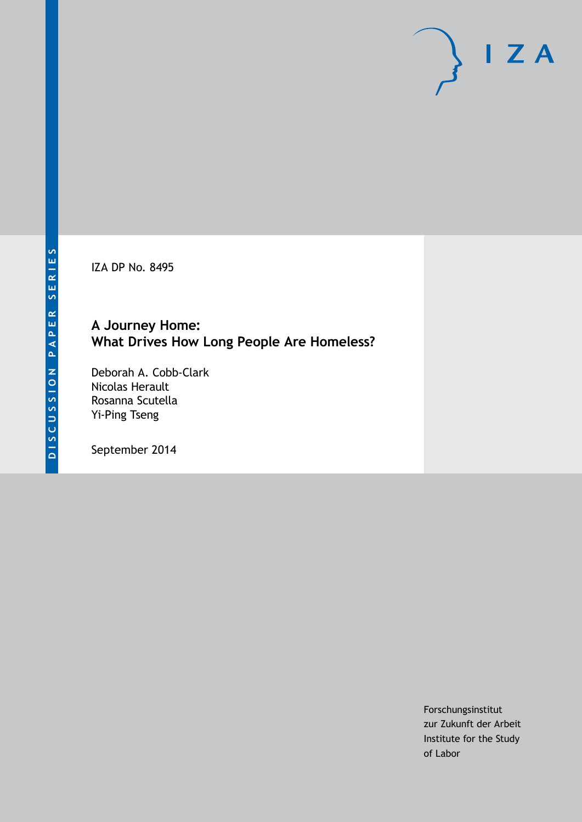IZA DP No. 8495

# **A Journey Home: What Drives How Long People Are Homeless?**

Deborah A. Cobb-Clark Nicolas Herault Rosanna Scutella Yi-Ping Tseng

September 2014

Forschungsinstitut zur Zukunft der Arbeit Institute for the Study of Labor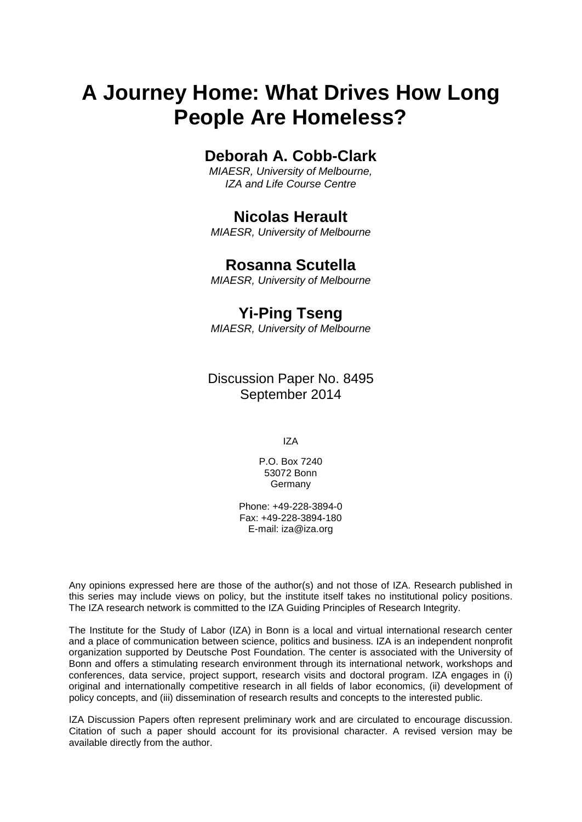# **A Journey Home: What Drives How Long People Are Homeless?**

# **Deborah A. Cobb-Clark**

*MIAESR, University of Melbourne, IZA and Life Course Centre*

# **Nicolas Herault**

*MIAESR, University of Melbourne*

# **Rosanna Scutella**

*MIAESR, University of Melbourne*

# **Yi-Ping Tseng**

*MIAESR, University of Melbourne*

Discussion Paper No. 8495 September 2014

IZA

P.O. Box 7240 53072 Bonn Germany

Phone: +49-228-3894-0 Fax: +49-228-3894-180 E-mail: [iza@iza.org](mailto:iza@iza.org)

Any opinions expressed here are those of the author(s) and not those of IZA. Research published in this series may include views on policy, but the institute itself takes no institutional policy positions. The IZA research network is committed to the IZA Guiding Principles of Research Integrity.

The Institute for the Study of Labor (IZA) in Bonn is a local and virtual international research center and a place of communication between science, politics and business. IZA is an independent nonprofit organization supported by Deutsche Post Foundation. The center is associated with the University of Bonn and offers a stimulating research environment through its international network, workshops and conferences, data service, project support, research visits and doctoral program. IZA engages in (i) original and internationally competitive research in all fields of labor economics, (ii) development of policy concepts, and (iii) dissemination of research results and concepts to the interested public.

<span id="page-1-0"></span>IZA Discussion Papers often represent preliminary work and are circulated to encourage discussion. Citation of such a paper should account for its provisional character. A revised version may be available directly from the author.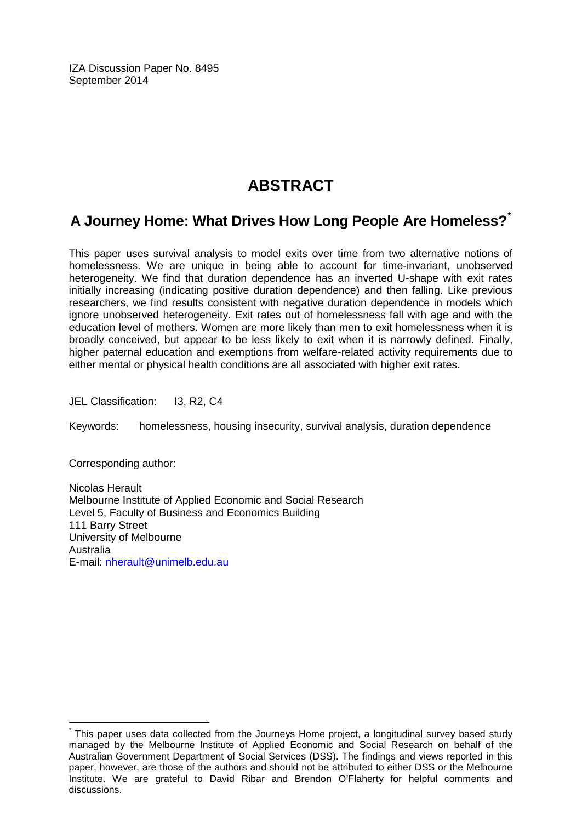IZA Discussion Paper No. 8495 September 2014

# **ABSTRACT**

# **A Journey Home: What Drives How Long People Are Homeless?[\\*](#page-1-0)**

This paper uses survival analysis to model exits over time from two alternative notions of homelessness. We are unique in being able to account for time-invariant, unobserved heterogeneity. We find that duration dependence has an inverted U-shape with exit rates initially increasing (indicating positive duration dependence) and then falling. Like previous researchers, we find results consistent with negative duration dependence in models which ignore unobserved heterogeneity. Exit rates out of homelessness fall with age and with the education level of mothers. Women are more likely than men to exit homelessness when it is broadly conceived, but appear to be less likely to exit when it is narrowly defined. Finally, higher paternal education and exemptions from welfare-related activity requirements due to either mental or physical health conditions are all associated with higher exit rates.

JEL Classification: I3, R2, C4

Keywords: homelessness, housing insecurity, survival analysis, duration dependence

Corresponding author:

Nicolas Herault Melbourne Institute of Applied Economic and Social Research Level 5, Faculty of Business and Economics Building 111 Barry Street University of Melbourne **Australia** E-mail: [nherault@unimelb.edu.au](mailto:nherault@unimelb.edu.au)

This paper uses data collected from the Journeys Home project, a longitudinal survey based study managed by the Melbourne Institute of Applied Economic and Social Research on behalf of the Australian Government Department of Social Services (DSS). The findings and views reported in this paper, however, are those of the authors and should not be attributed to either DSS or the Melbourne Institute. We are grateful to David Ribar and Brendon O'Flaherty for helpful comments and discussions.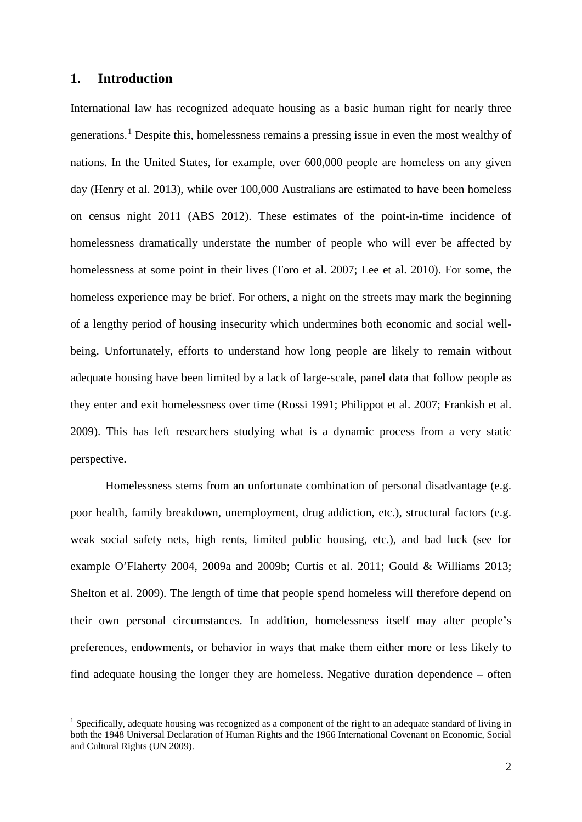### **1. Introduction**

International law has recognized adequate housing as a basic human right for nearly three generations.<sup>1</sup> Despite this, homelessness remains a pressing issue in even the most wealthy of nations. In the United States, for example, over 600,000 people are homeless on any given day (Henry et al. 2013), while over 100,000 Australians are estimated to have been homeless on census night 2011 (ABS 2012). These estimates of the point-in-time incidence of homelessness dramatically understate the number of people who will ever be affected by homelessness at some point in their lives (Toro et al. 2007; Lee et al. 2010). For some, the homeless experience may be brief. For others, a night on the streets may mark the beginning of a lengthy period of housing insecurity which undermines both economic and social wellbeing. Unfortunately, efforts to understand how long people are likely to remain without adequate housing have been limited by a lack of large-scale, panel data that follow people as they enter and exit homelessness over time (Rossi 1991; Philippot et al. 2007; Frankish et al. 2009). This has left researchers studying what is a dynamic process from a very static perspective.

Homelessness stems from an unfortunate combination of personal disadvantage (e.g. poor health, family breakdown, unemployment, drug addiction, etc.), structural factors (e.g. weak social safety nets, high rents, limited public housing, etc.), and bad luck (see for example O'Flaherty 2004, 2009a and 2009b; Curtis et al. 2011; Gould & Williams 2013; Shelton et al. 2009). The length of time that people spend homeless will therefore depend on their own personal circumstances. In addition, homelessness itself may alter people's preferences, endowments, or behavior in ways that make them either more or less likely to find adequate housing the longer they are homeless. Negative duration dependence – often

<span id="page-3-0"></span><sup>&</sup>lt;sup>1</sup> Specifically, adequate housing was recognized as a component of the right to an adequate standard of living in both the 1948 Universal Declaration of Human Rights and the 1966 International Covenant on Economic, Social and Cultural Rights (UN 2009).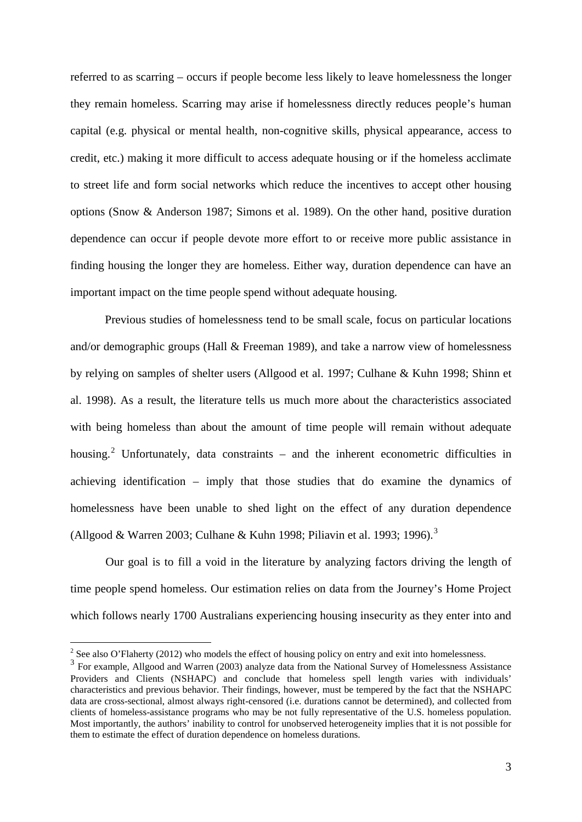referred to as scarring – occurs if people become less likely to leave homelessness the longer they remain homeless. Scarring may arise if homelessness directly reduces people's human capital (e.g. physical or mental health, non-cognitive skills, physical appearance, access to credit, etc.) making it more difficult to access adequate housing or if the homeless acclimate to street life and form social networks which reduce the incentives to accept other housing options (Snow & Anderson 1987; Simons et al. 1989). On the other hand, positive duration dependence can occur if people devote more effort to or receive more public assistance in finding housing the longer they are homeless. Either way, duration dependence can have an important impact on the time people spend without adequate housing.

Previous studies of homelessness tend to be small scale, focus on particular locations and/or demographic groups (Hall & Freeman 1989), and take a narrow view of homelessness by relying on samples of shelter users (Allgood et al. 1997; Culhane & Kuhn 1998; Shinn et al. 1998). As a result, the literature tells us much more about the characteristics associated with being homeless than about the amount of time people will remain without adequate housing.<sup>[2](#page-3-0)</sup> Unfortunately, data constraints  $-$  and the inherent econometric difficulties in achieving identification – imply that those studies that do examine the dynamics of homelessness have been unable to shed light on the effect of any duration dependence (Allgood & Warren 2003; Culhane & Kuhn 1998; Piliavin et al. 1993; 1996).[3](#page-4-0)

Our goal is to fill a void in the literature by analyzing factors driving the length of time people spend homeless. Our estimation relies on data from the Journey's Home Project which follows nearly 1700 Australians experiencing housing insecurity as they enter into and

 $2$  See also O'Flaherty (2012) who models the effect of housing policy on entry and exit into homelessness.

<span id="page-4-1"></span><span id="page-4-0"></span><sup>&</sup>lt;sup>3</sup> For example, Allgood and Warren (2003) analyze data from the National Survey of Homelessness Assistance Providers and Clients (NSHAPC) and conclude that homeless spell length varies with individuals' characteristics and previous behavior. Their findings, however, must be tempered by the fact that the NSHAPC data are cross-sectional, almost always right-censored (i.e. durations cannot be determined), and collected from clients of homeless-assistance programs who may be not fully representative of the U.S. homeless population. Most importantly, the authors' inability to control for unobserved heterogeneity implies that it is not possible for them to estimate the effect of duration dependence on homeless durations.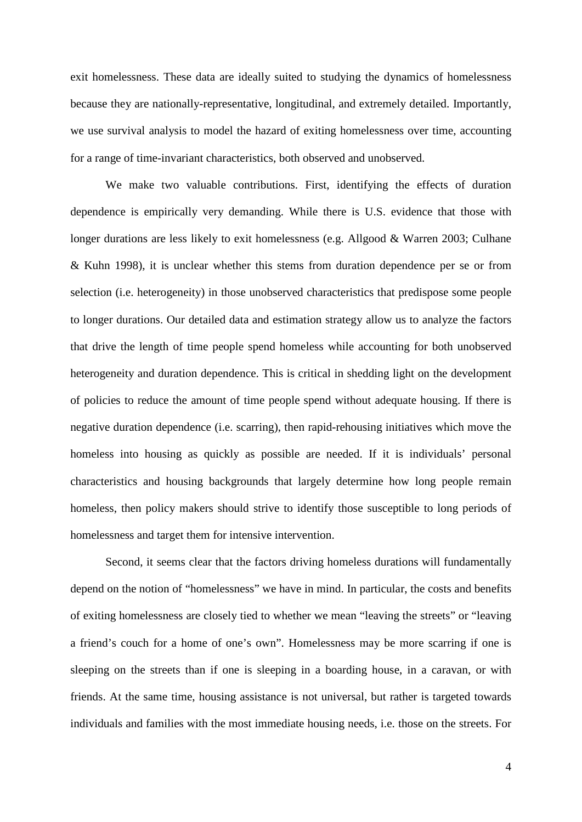exit homelessness. These data are ideally suited to studying the dynamics of homelessness because they are nationally-representative, longitudinal, and extremely detailed. Importantly, we use survival analysis to model the hazard of exiting homelessness over time, accounting for a range of time-invariant characteristics, both observed and unobserved.

We make two valuable contributions. First, identifying the effects of duration dependence is empirically very demanding. While there is U.S. evidence that those with longer durations are less likely to exit homelessness (e.g. Allgood & Warren 2003; Culhane & Kuhn 1998), it is unclear whether this stems from duration dependence per se or from selection (i.e. heterogeneity) in those unobserved characteristics that predispose some people to longer durations. Our detailed data and estimation strategy allow us to analyze the factors that drive the length of time people spend homeless while accounting for both unobserved heterogeneity and duration dependence. This is critical in shedding light on the development of policies to reduce the amount of time people spend without adequate housing. If there is negative duration dependence (i.e. scarring), then rapid-rehousing initiatives which move the homeless into housing as quickly as possible are needed. If it is individuals' personal characteristics and housing backgrounds that largely determine how long people remain homeless, then policy makers should strive to identify those susceptible to long periods of homelessness and target them for intensive intervention.

Second, it seems clear that the factors driving homeless durations will fundamentally depend on the notion of "homelessness" we have in mind. In particular, the costs and benefits of exiting homelessness are closely tied to whether we mean "leaving the streets" or "leaving a friend's couch for a home of one's own". Homelessness may be more scarring if one is sleeping on the streets than if one is sleeping in a boarding house, in a caravan, or with friends. At the same time, housing assistance is not universal, but rather is targeted towards individuals and families with the most immediate housing needs, i.e. those on the streets. For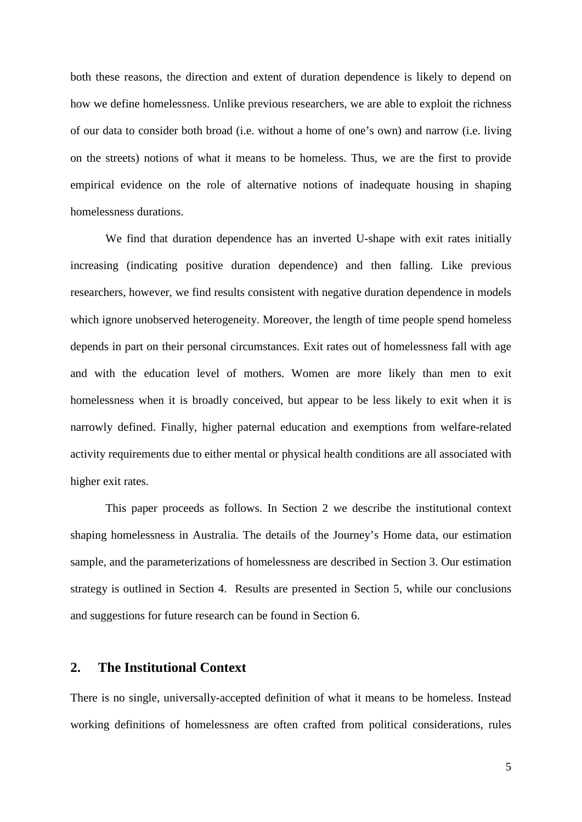both these reasons, the direction and extent of duration dependence is likely to depend on how we define homelessness. Unlike previous researchers, we are able to exploit the richness of our data to consider both broad (i.e. without a home of one's own) and narrow (i.e. living on the streets) notions of what it means to be homeless. Thus, we are the first to provide empirical evidence on the role of alternative notions of inadequate housing in shaping homelessness durations.

We find that duration dependence has an inverted U-shape with exit rates initially increasing (indicating positive duration dependence) and then falling. Like previous researchers, however, we find results consistent with negative duration dependence in models which ignore unobserved heterogeneity. Moreover, the length of time people spend homeless depends in part on their personal circumstances. Exit rates out of homelessness fall with age and with the education level of mothers. Women are more likely than men to exit homelessness when it is broadly conceived, but appear to be less likely to exit when it is narrowly defined. Finally, higher paternal education and exemptions from welfare-related activity requirements due to either mental or physical health conditions are all associated with higher exit rates.

This paper proceeds as follows. In Section 2 we describe the institutional context shaping homelessness in Australia. The details of the Journey's Home data, our estimation sample, and the parameterizations of homelessness are described in Section 3. Our estimation strategy is outlined in Section 4. Results are presented in Section 5, while our conclusions and suggestions for future research can be found in Section 6.

# **2. The Institutional Context**

There is no single, universally-accepted definition of what it means to be homeless. Instead working definitions of homelessness are often crafted from political considerations, rules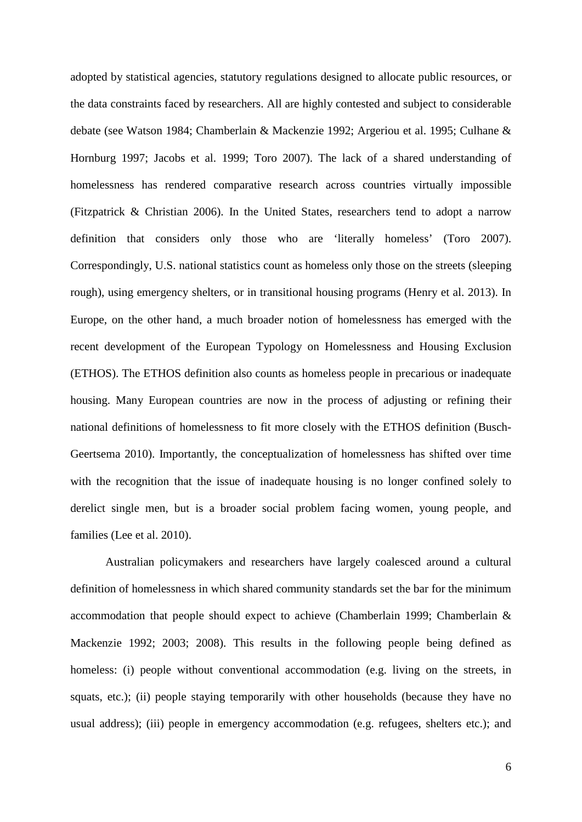adopted by statistical agencies, statutory regulations designed to allocate public resources, or the data constraints faced by researchers. All are highly contested and subject to considerable debate (see Watson 1984; Chamberlain & Mackenzie 1992; Argeriou et al. 1995; Culhane & Hornburg 1997; Jacobs et al. 1999; Toro 2007). The lack of a shared understanding of homelessness has rendered comparative research across countries virtually impossible (Fitzpatrick & Christian 2006). In the United States, researchers tend to adopt a narrow definition that considers only those who are 'literally homeless' (Toro 2007). Correspondingly, U.S. national statistics count as homeless only those on the streets (sleeping rough), using emergency shelters, or in transitional housing programs (Henry et al. 2013). In Europe, on the other hand, a much broader notion of homelessness has emerged with the recent development of the European Typology on Homelessness and Housing Exclusion (ETHOS). The ETHOS definition also counts as homeless people in precarious or inadequate housing. Many European countries are now in the process of adjusting or refining their national definitions of homelessness to fit more closely with the ETHOS definition (Busch-Geertsema 2010). Importantly, the conceptualization of homelessness has shifted over time with the recognition that the issue of inadequate housing is no longer confined solely to derelict single men, but is a broader social problem facing women, young people, and families (Lee et al. 2010).

Australian policymakers and researchers have largely coalesced around a cultural definition of homelessness in which shared community standards set the bar for the minimum accommodation that people should expect to achieve (Chamberlain 1999; Chamberlain & Mackenzie 1992; 2003; 2008). This results in the following people being defined as homeless: (i) people without conventional accommodation (e.g. living on the streets, in squats, etc.); (ii) people staying temporarily with other households (because they have no usual address); (iii) people in emergency accommodation (e.g. refugees, shelters etc.); and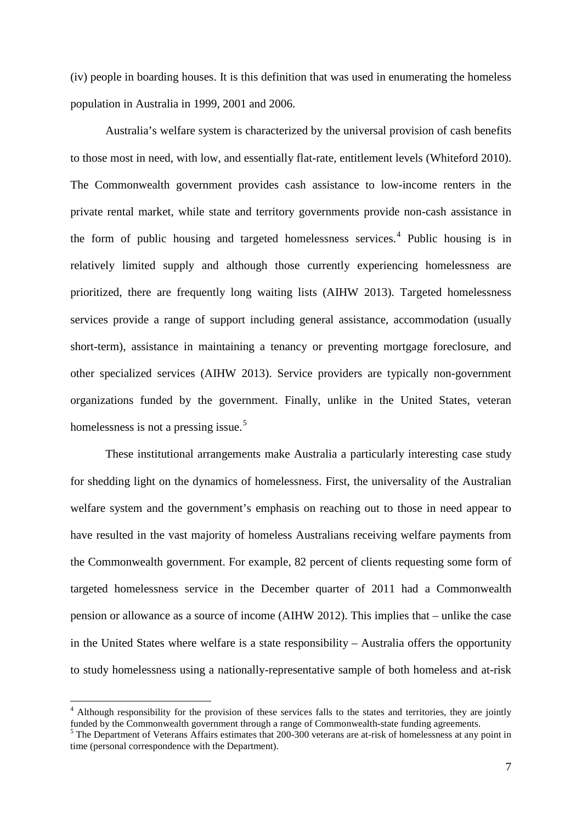(iv) people in boarding houses. It is this definition that was used in enumerating the homeless population in Australia in 1999, 2001 and 2006.

Australia's welfare system is characterized by the universal provision of cash benefits to those most in need, with low, and essentially flat-rate, entitlement levels (Whiteford 2010). The Commonwealth government provides cash assistance to low-income renters in the private rental market, while state and territory governments provide non-cash assistance in the form of public housing and targeted homelessness services.<sup>[4](#page-4-1)</sup> Public housing is in relatively limited supply and although those currently experiencing homelessness are prioritized, there are frequently long waiting lists (AIHW 2013). Targeted homelessness services provide a range of support including general assistance, accommodation (usually short-term), assistance in maintaining a tenancy or preventing mortgage foreclosure, and other specialized services (AIHW 2013). Service providers are typically non-government organizations funded by the government. Finally, unlike in the United States, veteran homelessness is not a pressing issue.<sup>[5](#page-8-0)</sup>

These institutional arrangements make Australia a particularly interesting case study for shedding light on the dynamics of homelessness. First, the universality of the Australian welfare system and the government's emphasis on reaching out to those in need appear to have resulted in the vast majority of homeless Australians receiving welfare payments from the Commonwealth government. For example, 82 percent of clients requesting some form of targeted homelessness service in the December quarter of 2011 had a Commonwealth pension or allowance as a source of income (AIHW 2012). This implies that – unlike the case in the United States where welfare is a state responsibility – Australia offers the opportunity to study homelessness using a nationally-representative sample of both homeless and at-risk

<span id="page-8-1"></span><sup>&</sup>lt;sup>4</sup> Although responsibility for the provision of these services falls to the states and territories, they are jointly funded by the Commonwealth government through a range of Commonwealth-state funding agreements. 5 The Department of Veterans Affairs estimates that 200-300 veterans are at-risk of homelessness at any point in

<span id="page-8-0"></span>time (personal correspondence with the Department).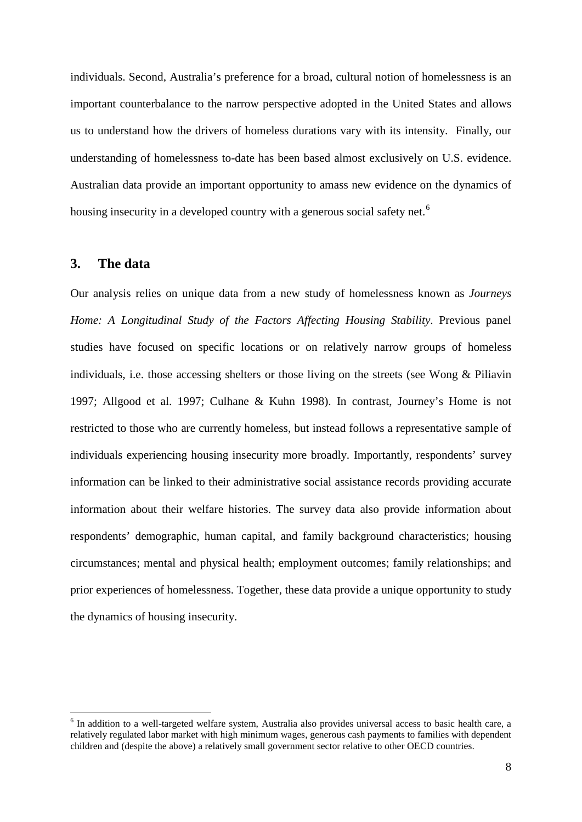individuals. Second, Australia's preference for a broad, cultural notion of homelessness is an important counterbalance to the narrow perspective adopted in the United States and allows us to understand how the drivers of homeless durations vary with its intensity. Finally, our understanding of homelessness to-date has been based almost exclusively on U.S. evidence. Australian data provide an important opportunity to amass new evidence on the dynamics of housing insecurity in a developed country with a generous social safety net.<sup>[6](#page-8-1)</sup>

### **3. The data**

Our analysis relies on unique data from a new study of homelessness known as *Journeys Home: A Longitudinal Study of the Factors Affecting Housing Stability*. Previous panel studies have focused on specific locations or on relatively narrow groups of homeless individuals, i.e. those accessing shelters or those living on the streets (see Wong & Piliavin 1997; Allgood et al. 1997; Culhane & Kuhn 1998). In contrast, Journey's Home is not restricted to those who are currently homeless, but instead follows a representative sample of individuals experiencing housing insecurity more broadly. Importantly, respondents' survey information can be linked to their administrative social assistance records providing accurate information about their welfare histories. The survey data also provide information about respondents' demographic, human capital, and family background characteristics; housing circumstances; mental and physical health; employment outcomes; family relationships; and prior experiences of homelessness. Together, these data provide a unique opportunity to study the dynamics of housing insecurity.

<span id="page-9-0"></span> <sup>6</sup> In addition to a well-targeted welfare system, Australia also provides universal access to basic health care, a relatively regulated labor market with high minimum wages, generous cash payments to families with dependent children and (despite the above) a relatively small government sector relative to other OECD countries.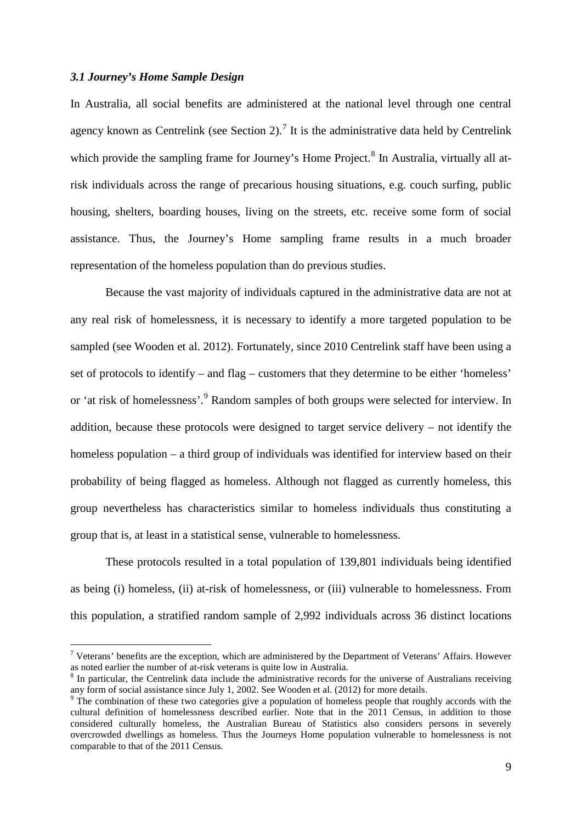#### *3.1 Journey's Home Sample Design*

In Australia, all social benefits are administered at the national level through one central agency known as Centrelink (see Section 2).<sup>[7](#page-9-0)</sup> It is the administrative data held by Centrelink which provide the sampling frame for Journey's Home Project.<sup>[8](#page-10-0)</sup> In Australia, virtually all atrisk individuals across the range of precarious housing situations, e.g. couch surfing, public housing, shelters, boarding houses, living on the streets, etc. receive some form of social assistance. Thus, the Journey's Home sampling frame results in a much broader representation of the homeless population than do previous studies.

Because the vast majority of individuals captured in the administrative data are not at any real risk of homelessness, it is necessary to identify a more targeted population to be sampled (see Wooden et al. 2012). Fortunately, since 2010 Centrelink staff have been using a set of protocols to identify – and flag – customers that they determine to be either 'homeless' or 'at risk of homelessness'.<sup>[9](#page-10-1)</sup> Random samples of both groups were selected for interview. In addition, because these protocols were designed to target service delivery – not identify the homeless population – a third group of individuals was identified for interview based on their probability of being flagged as homeless. Although not flagged as currently homeless, this group nevertheless has characteristics similar to homeless individuals thus constituting a group that is, at least in a statistical sense, vulnerable to homelessness.

These protocols resulted in a total population of 139,801 individuals being identified as being (i) homeless, (ii) at-risk of homelessness, or (iii) vulnerable to homelessness. From this population, a stratified random sample of 2,992 individuals across 36 distinct locations

 $7$  Veterans' benefits are the exception, which are administered by the Department of Veterans' Affairs. However as noted earlier the number of at-risk veterans is quite low in Australia.

<span id="page-10-0"></span> $8$  In particular, the Centrelink data include the administrative records for the universe of Australians receiving any form of social assistance since July 1, 2002. See Wooden et al. (2012) for more details.

<span id="page-10-2"></span><span id="page-10-1"></span><sup>&</sup>lt;sup>9</sup> The combination of these two categories give a population of homeless people that roughly accords with the cultural definition of homelessness described earlier. Note that in the 2011 Census, in addition to those considered culturally homeless, the Australian Bureau of Statistics also considers persons in severely overcrowded dwellings as homeless. Thus the Journeys Home population vulnerable to homelessness is not comparable to that of the 2011 Census.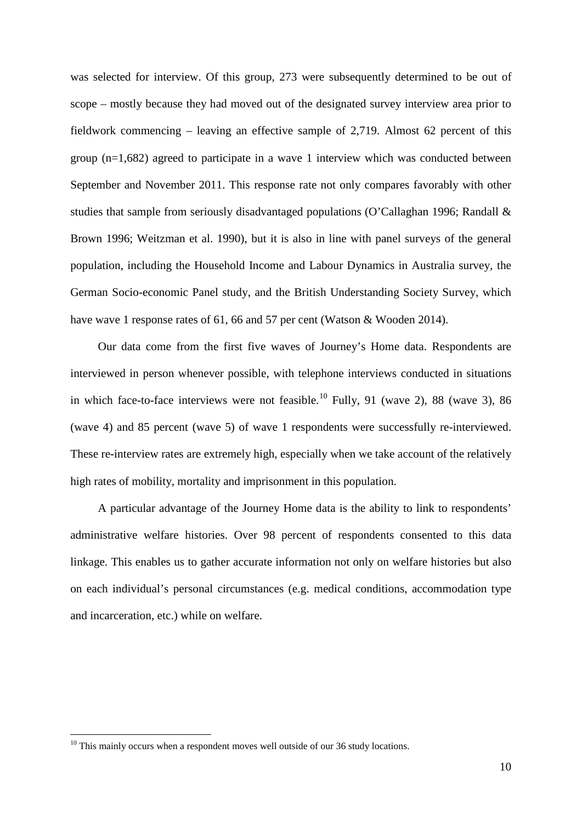was selected for interview. Of this group, 273 were subsequently determined to be out of scope – mostly because they had moved out of the designated survey interview area prior to fieldwork commencing – leaving an effective sample of 2,719. Almost 62 percent of this group (n=1,682) agreed to participate in a wave 1 interview which was conducted between September and November 2011. This response rate not only compares favorably with other studies that sample from seriously disadvantaged populations (O'Callaghan 1996; Randall & Brown 1996; Weitzman et al. 1990), but it is also in line with panel surveys of the general population, including the Household Income and Labour Dynamics in Australia survey, the German Socio-economic Panel study, and the British Understanding Society Survey, which have wave 1 response rates of 61, 66 and 57 per cent (Watson & Wooden 2014).

Our data come from the first five waves of Journey's Home data. Respondents are interviewed in person whenever possible, with telephone interviews conducted in situations in which face-to-face interviews were not feasible.<sup>[10](#page-10-2)</sup> Fully, 91 (wave 2), 88 (wave 3), 86 (wave 4) and 85 percent (wave 5) of wave 1 respondents were successfully re-interviewed. These re-interview rates are extremely high, especially when we take account of the relatively high rates of mobility, mortality and imprisonment in this population.

A particular advantage of the Journey Home data is the ability to link to respondents' administrative welfare histories. Over 98 percent of respondents consented to this data linkage. This enables us to gather accurate information not only on welfare histories but also on each individual's personal circumstances (e.g. medical conditions, accommodation type and incarceration, etc.) while on welfare.

<span id="page-11-0"></span><sup>&</sup>lt;sup>10</sup> This mainly occurs when a respondent moves well outside of our 36 study locations.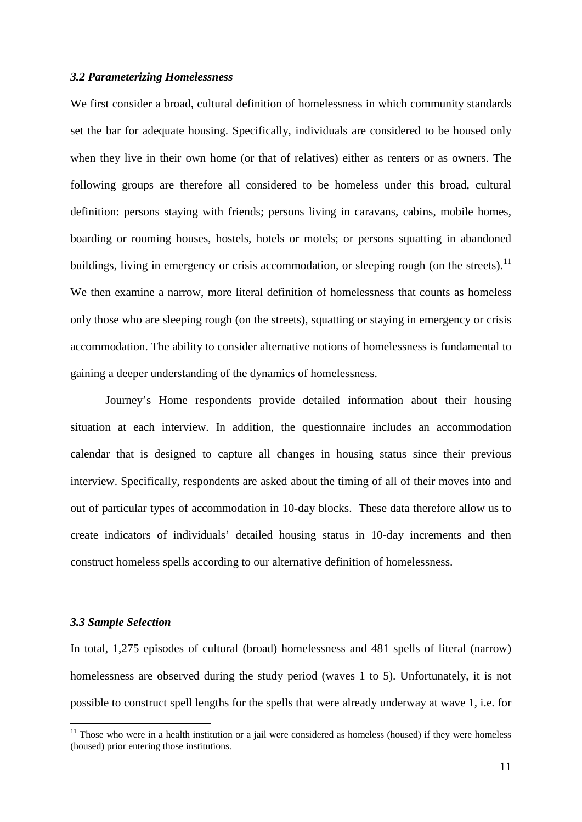#### *3.2 Parameterizing Homelessness*

We first consider a broad, cultural definition of homelessness in which community standards set the bar for adequate housing. Specifically, individuals are considered to be housed only when they live in their own home (or that of relatives) either as renters or as owners. The following groups are therefore all considered to be homeless under this broad, cultural definition: persons staying with friends; persons living in caravans, cabins, mobile homes, boarding or rooming houses, hostels, hotels or motels; or persons squatting in abandoned buildings, living in emergency or crisis accommodation, or sleeping rough (on the streets).<sup>[11](#page-11-0)</sup> We then examine a narrow, more literal definition of homelessness that counts as homeless only those who are sleeping rough (on the streets), squatting or staying in emergency or crisis accommodation. The ability to consider alternative notions of homelessness is fundamental to gaining a deeper understanding of the dynamics of homelessness.

Journey's Home respondents provide detailed information about their housing situation at each interview. In addition, the questionnaire includes an accommodation calendar that is designed to capture all changes in housing status since their previous interview. Specifically, respondents are asked about the timing of all of their moves into and out of particular types of accommodation in 10-day blocks. These data therefore allow us to create indicators of individuals' detailed housing status in 10-day increments and then construct homeless spells according to our alternative definition of homelessness.

#### *3.3 Sample Selection*

In total, 1,275 episodes of cultural (broad) homelessness and 481 spells of literal (narrow) homelessness are observed during the study period (waves 1 to 5). Unfortunately, it is not possible to construct spell lengths for the spells that were already underway at wave 1, i.e. for

<span id="page-12-0"></span><sup>&</sup>lt;sup>11</sup> Those who were in a health institution or a jail were considered as homeless (housed) if they were homeless (housed) prior entering those institutions.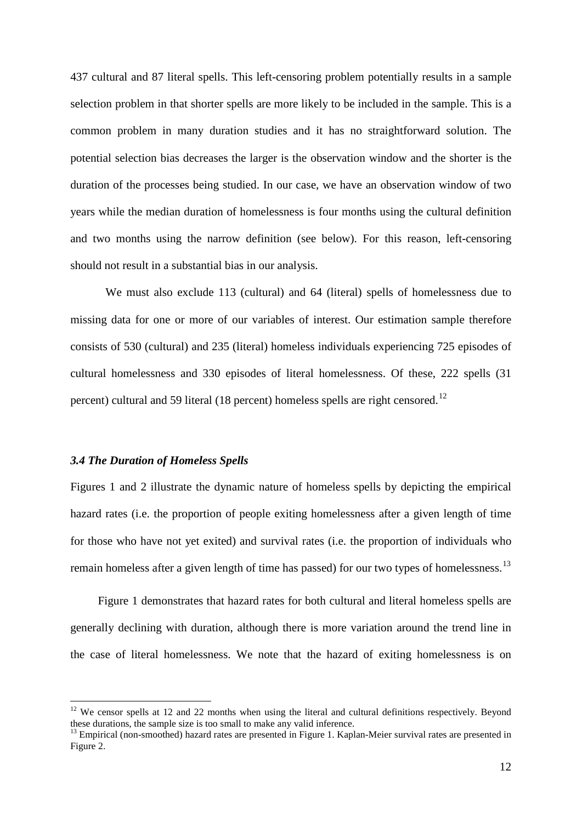437 cultural and 87 literal spells. This left-censoring problem potentially results in a sample selection problem in that shorter spells are more likely to be included in the sample. This is a common problem in many duration studies and it has no straightforward solution. The potential selection bias decreases the larger is the observation window and the shorter is the duration of the processes being studied. In our case, we have an observation window of two years while the median duration of homelessness is four months using the cultural definition and two months using the narrow definition (see below). For this reason, left-censoring should not result in a substantial bias in our analysis.

We must also exclude 113 (cultural) and 64 (literal) spells of homelessness due to missing data for one or more of our variables of interest. Our estimation sample therefore consists of 530 (cultural) and 235 (literal) homeless individuals experiencing 725 episodes of cultural homelessness and 330 episodes of literal homelessness. Of these, 222 spells (31 percent) cultural and 59 literal (18 percent) homeless spells are right censored.[12](#page-12-0)

#### *3.4 The Duration of Homeless Spells*

Figures 1 and 2 illustrate the dynamic nature of homeless spells by depicting the empirical hazard rates (i.e. the proportion of people exiting homelessness after a given length of time for those who have not yet exited) and survival rates (i.e. the proportion of individuals who remain homeless after a given length of time has passed) for our two types of homelessness.<sup>[13](#page-13-0)</sup>

Figure 1 demonstrates that hazard rates for both cultural and literal homeless spells are generally declining with duration, although there is more variation around the trend line in the case of literal homelessness. We note that the hazard of exiting homelessness is on

<sup>&</sup>lt;sup>12</sup> We censor spells at 12 and 22 months when using the literal and cultural definitions respectively. Beyond these durations, the sample size is too small to make any valid inference.

<span id="page-13-1"></span><span id="page-13-0"></span><sup>&</sup>lt;sup>13</sup> Empirical (non-smoothed) hazard rates are presented in Figure 1. Kaplan-Meier survival rates are presented in Figure 2.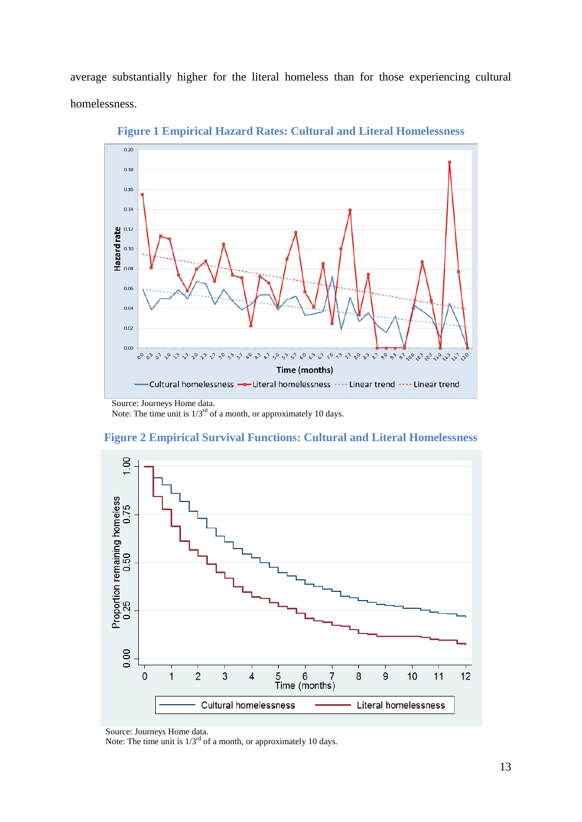average substantially higher for the literal homeless than for those experiencing cultural homelessness.



**Figure 1 Empirical Hazard Rates: Cultural and Literal Homelessness**

Note: The time unit is  $1/3^{rd}$  of a month, or approximately 10 days.





Note: The time unit is 1/3rd of a month, or approximately 10 days.

Source: Journeys Home data.

Source: Journeys Home data.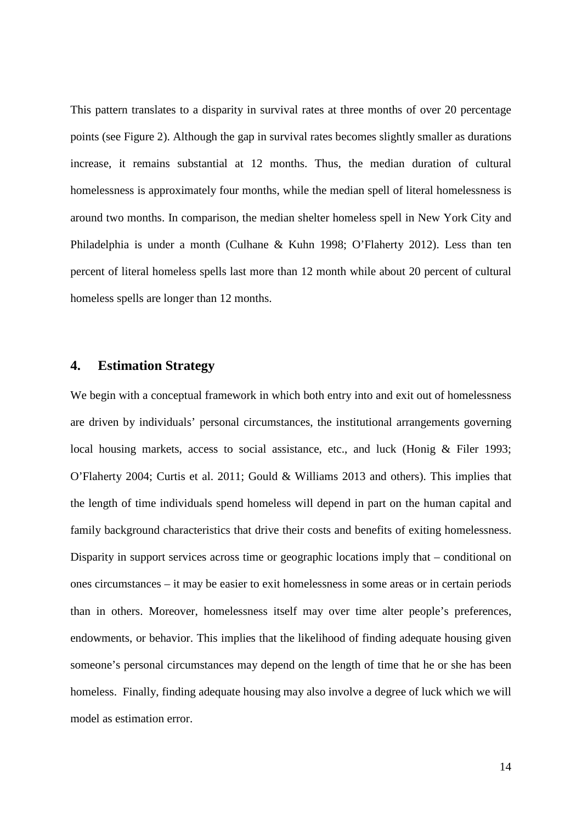This pattern translates to a disparity in survival rates at three months of over 20 percentage points (see Figure 2). Although the gap in survival rates becomes slightly smaller as durations increase, it remains substantial at 12 months. Thus, the median duration of cultural homelessness is approximately four months, while the median spell of literal homelessness is around two months. In comparison, the median shelter homeless spell in New York City and Philadelphia is under a month (Culhane & Kuhn 1998; O'Flaherty 2012). Less than ten percent of literal homeless spells last more than 12 month while about 20 percent of cultural homeless spells are longer than 12 months.

### **4. Estimation Strategy**

We begin with a conceptual framework in which both entry into and exit out of homelessness are driven by individuals' personal circumstances, the institutional arrangements governing local housing markets, access to social assistance, etc., and luck (Honig & Filer 1993; O'Flaherty 2004; Curtis et al. 2011; Gould & Williams 2013 and others). This implies that the length of time individuals spend homeless will depend in part on the human capital and family background characteristics that drive their costs and benefits of exiting homelessness. Disparity in support services across time or geographic locations imply that – conditional on ones circumstances – it may be easier to exit homelessness in some areas or in certain periods than in others. Moreover, homelessness itself may over time alter people's preferences, endowments, or behavior. This implies that the likelihood of finding adequate housing given someone's personal circumstances may depend on the length of time that he or she has been homeless. Finally, finding adequate housing may also involve a degree of luck which we will model as estimation error.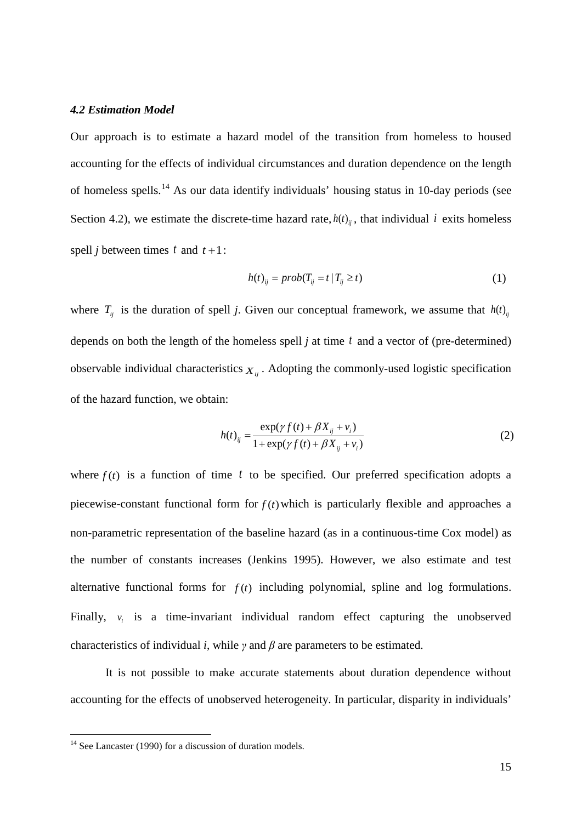#### *4.2 Estimation Model*

Our approach is to estimate a hazard model of the transition from homeless to housed accounting for the effects of individual circumstances and duration dependence on the length of homeless spells.<sup>[14](#page-13-1)</sup> As our data identify individuals' housing status in 10-day periods (see Section 4.2), we estimate the discrete-time hazard rate,  $h(t)_{ii}$ , that individual *i* exits homeless spell *j* between times  $t$  and  $t + 1$ :

$$
h(t)_{ij} = prob(T_{ij} = t | T_{ij} \ge t)
$$
\n<sup>(1)</sup>

where  $T_{ij}$  is the duration of spell *j*. Given our conceptual framework, we assume that  $h(t)_{ij}$ depends on both the length of the homeless spell *j* at time *t* and a vector of (pre-determined) observable individual characteristics  $X_{ij}$ . Adopting the commonly-used logistic specification of the hazard function, we obtain:

$$
h(t)_{ij} = \frac{\exp(\gamma f(t) + \beta X_{ij} + v_i)}{1 + \exp(\gamma f(t) + \beta X_{ij} + v_i)}
$$
(2)

where  $f(t)$  is a function of time t to be specified. Our preferred specification adopts a piecewise-constant functional form for  $f(t)$  which is particularly flexible and approaches a non-parametric representation of the baseline hazard (as in a continuous-time Cox model) as the number of constants increases (Jenkins 1995). However, we also estimate and test alternative functional forms for  $f(t)$  including polynomial, spline and log formulations. Finally,  $v_i$  is a time-invariant individual random effect capturing the unobserved characteristics of individual *i*, while  $\gamma$  and  $\beta$  are parameters to be estimated.

<span id="page-16-0"></span>It is not possible to make accurate statements about duration dependence without accounting for the effects of unobserved heterogeneity. In particular, disparity in individuals'

 $14$  See Lancaster (1990) for a discussion of duration models.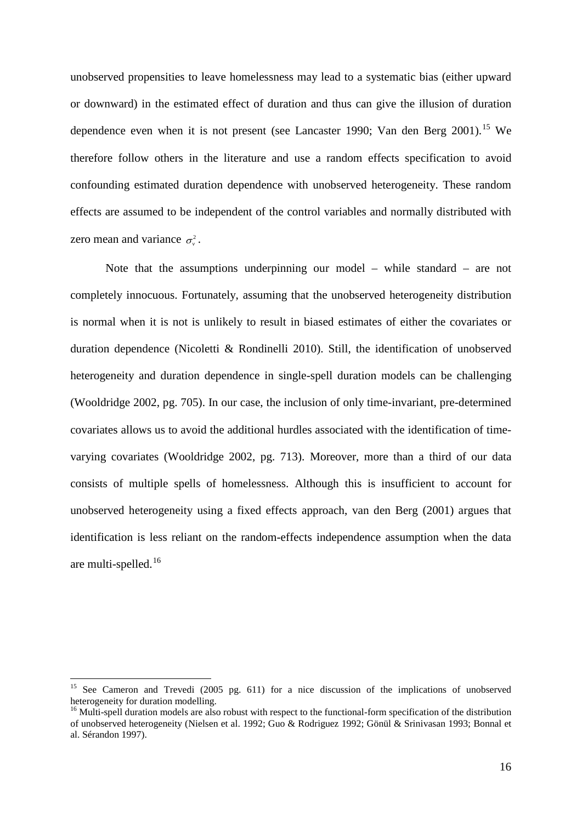unobserved propensities to leave homelessness may lead to a systematic bias (either upward or downward) in the estimated effect of duration and thus can give the illusion of duration dependence even when it is not present (see Lancaster 1990; Van den Berg 2001).<sup>[15](#page-16-0)</sup> We therefore follow others in the literature and use a random effects specification to avoid confounding estimated duration dependence with unobserved heterogeneity. These random effects are assumed to be independent of the control variables and normally distributed with zero mean and variance  $\sigma_v^2$ .

Note that the assumptions underpinning our model – while standard – are not completely innocuous. Fortunately, assuming that the unobserved heterogeneity distribution is normal when it is not is unlikely to result in biased estimates of either the covariates or duration dependence (Nicoletti & Rondinelli 2010). Still, the identification of unobserved heterogeneity and duration dependence in single-spell duration models can be challenging (Wooldridge 2002, pg. 705). In our case, the inclusion of only time-invariant, pre-determined covariates allows us to avoid the additional hurdles associated with the identification of timevarying covariates (Wooldridge 2002, pg. 713). Moreover, more than a third of our data consists of multiple spells of homelessness. Although this is insufficient to account for unobserved heterogeneity using a fixed effects approach, van den Berg (2001) argues that identification is less reliant on the random-effects independence assumption when the data are multi-spelled.[16](#page-17-0)

<sup>&</sup>lt;sup>15</sup> See Cameron and Trevedi (2005 pg. 611) for a nice discussion of the implications of unobserved heterogeneity for duration modelling.

<span id="page-17-1"></span><span id="page-17-0"></span> $16$  Multi-spell duration models are also robust with respect to the functional-form specification of the distribution of unobserved heterogeneity (Nielsen et al. 1992; Guo & Rodriguez 1992; Gönül & Srinivasan 1993; Bonnal et al. Sérandon 1997).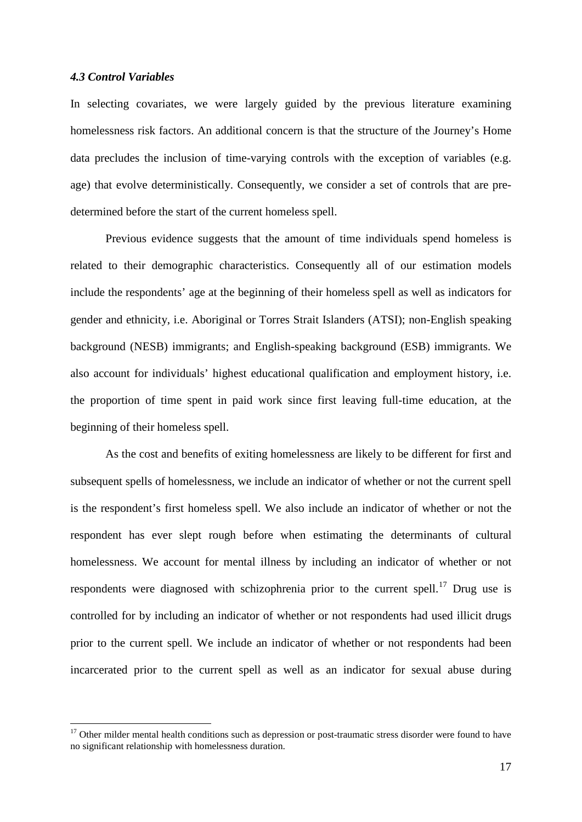#### *4.3 Control Variables*

In selecting covariates, we were largely guided by the previous literature examining homelessness risk factors. An additional concern is that the structure of the Journey's Home data precludes the inclusion of time-varying controls with the exception of variables (e.g. age) that evolve deterministically. Consequently, we consider a set of controls that are predetermined before the start of the current homeless spell.

Previous evidence suggests that the amount of time individuals spend homeless is related to their demographic characteristics. Consequently all of our estimation models include the respondents' age at the beginning of their homeless spell as well as indicators for gender and ethnicity, i.e. Aboriginal or Torres Strait Islanders (ATSI); non-English speaking background (NESB) immigrants; and English-speaking background (ESB) immigrants. We also account for individuals' highest educational qualification and employment history, i.e. the proportion of time spent in paid work since first leaving full-time education, at the beginning of their homeless spell.

As the cost and benefits of exiting homelessness are likely to be different for first and subsequent spells of homelessness, we include an indicator of whether or not the current spell is the respondent's first homeless spell. We also include an indicator of whether or not the respondent has ever slept rough before when estimating the determinants of cultural homelessness. We account for mental illness by including an indicator of whether or not respondents were diagnosed with schizophrenia prior to the current spell.<sup>[17](#page-17-1)</sup> Drug use is controlled for by including an indicator of whether or not respondents had used illicit drugs prior to the current spell. We include an indicator of whether or not respondents had been incarcerated prior to the current spell as well as an indicator for sexual abuse during

<span id="page-18-0"></span> $17$  Other milder mental health conditions such as depression or post-traumatic stress disorder were found to have no significant relationship with homelessness duration.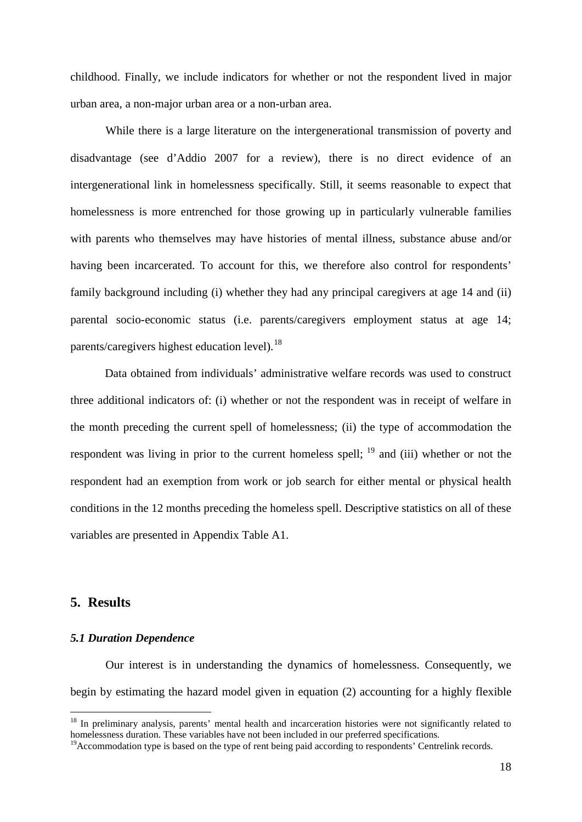childhood. Finally, we include indicators for whether or not the respondent lived in major urban area, a non-major urban area or a non-urban area.

While there is a large literature on the intergenerational transmission of poverty and disadvantage (see d'Addio 2007 for a review), there is no direct evidence of an intergenerational link in homelessness specifically. Still, it seems reasonable to expect that homelessness is more entrenched for those growing up in particularly vulnerable families with parents who themselves may have histories of mental illness, substance abuse and/or having been incarcerated. To account for this, we therefore also control for respondents' family background including (i) whether they had any principal caregivers at age 14 and (ii) parental socio-economic status (i.e. parents/caregivers employment status at age 14; parents/caregivers highest education level).<sup>[18](#page-18-0)</sup>

Data obtained from individuals' administrative welfare records was used to construct three additional indicators of: (i) whether or not the respondent was in receipt of welfare in the month preceding the current spell of homelessness; (ii) the type of accommodation the respondent was living in prior to the current homeless spell;  $^{19}$  $^{19}$  $^{19}$  and (iii) whether or not the respondent had an exemption from work or job search for either mental or physical health conditions in the 12 months preceding the homeless spell. Descriptive statistics on all of these variables are presented in Appendix Table A1.

### **5. Results**

#### *5.1 Duration Dependence*

Our interest is in understanding the dynamics of homelessness. Consequently, we begin by estimating the hazard model given in equation (2) accounting for a highly flexible

<span id="page-19-1"></span><sup>&</sup>lt;sup>18</sup> In preliminary analysis, parents' mental health and incarceration histories were not significantly related to homelessness duration. These variables have not been included in our preferred specifications.

<span id="page-19-0"></span> $19$ Accommodation type is based on the type of rent being paid according to respondents' Centrelink records.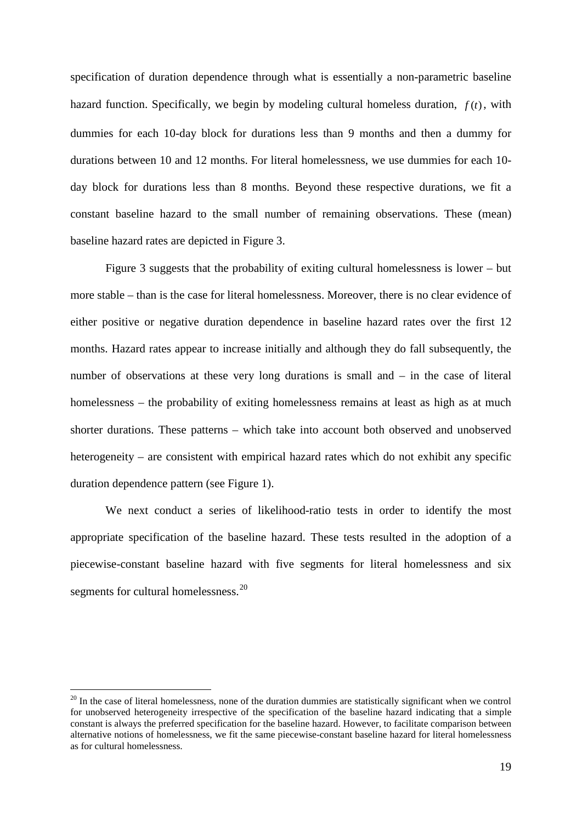specification of duration dependence through what is essentially a non-parametric baseline hazard function. Specifically, we begin by modeling cultural homeless duration,  $f(t)$ , with dummies for each 10-day block for durations less than 9 months and then a dummy for durations between 10 and 12 months. For literal homelessness, we use dummies for each 10 day block for durations less than 8 months. Beyond these respective durations, we fit a constant baseline hazard to the small number of remaining observations. These (mean) baseline hazard rates are depicted in Figure 3.

Figure 3 suggests that the probability of exiting cultural homelessness is lower – but more stable – than is the case for literal homelessness. Moreover, there is no clear evidence of either positive or negative duration dependence in baseline hazard rates over the first 12 months. Hazard rates appear to increase initially and although they do fall subsequently, the number of observations at these very long durations is small and – in the case of literal homelessness – the probability of exiting homelessness remains at least as high as at much shorter durations. These patterns – which take into account both observed and unobserved heterogeneity – are consistent with empirical hazard rates which do not exhibit any specific duration dependence pattern (see Figure 1).

We next conduct a series of likelihood-ratio tests in order to identify the most appropriate specification of the baseline hazard. These tests resulted in the adoption of a piecewise-constant baseline hazard with five segments for literal homelessness and six segments for cultural homelessness.<sup>[20](#page-19-1)</sup>

<span id="page-20-0"></span> $20$  In the case of literal homelessness, none of the duration dummies are statistically significant when we control for unobserved heterogeneity irrespective of the specification of the baseline hazard indicating that a simple constant is always the preferred specification for the baseline hazard. However, to facilitate comparison between alternative notions of homelessness, we fit the same piecewise-constant baseline hazard for literal homelessness as for cultural homelessness.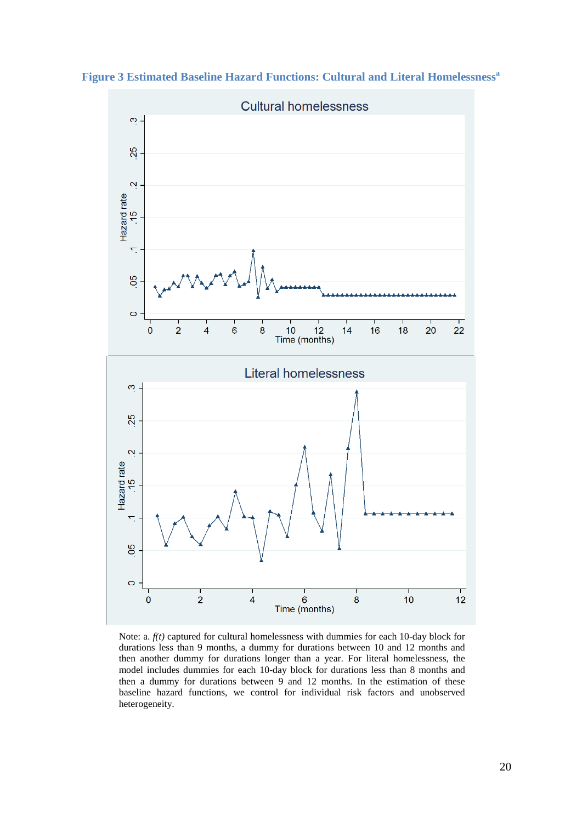

**Figure 3 Estimated Baseline Hazard Functions: Cultural and Literal Homelessness<sup>a</sup>**

Note: a. *f(t)* captured for cultural homelessness with dummies for each 10-day block for durations less than 9 months, a dummy for durations between 10 and 12 months and then another dummy for durations longer than a year. For literal homelessness, the model includes dummies for each 10-day block for durations less than 8 months and then a dummy for durations between 9 and 12 months. In the estimation of these baseline hazard functions, we control for individual risk factors and unobserved heterogeneity.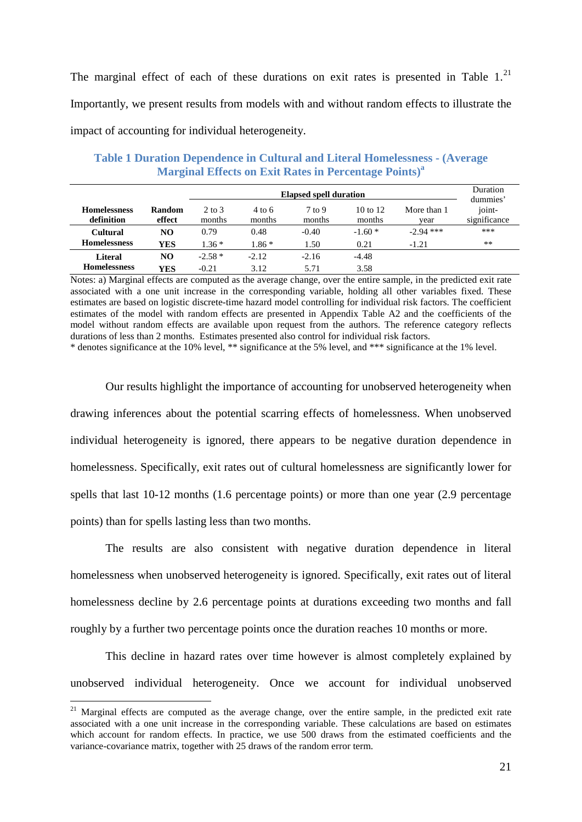The marginal effect of each of these durations on exit rates is presented in Table  $1.^{21}$  $1.^{21}$  $1.^{21}$ Importantly, we present results from models with and without random effects to illustrate the impact of accounting for individual heterogeneity.

|                                   |                  |                  |                  | <b>Elapsed spell duration</b> |                    |                     | Duration<br>dummies'   |
|-----------------------------------|------------------|------------------|------------------|-------------------------------|--------------------|---------------------|------------------------|
| <b>Homelessness</b><br>definition | Random<br>effect | 2 to 3<br>months | 4 to 6<br>months | $7$ to 9<br>months            | 10 to 12<br>months | More than 1<br>vear | joint-<br>significance |
| <b>Cultural</b>                   | NO               | 0.79             | 0.48             | $-0.40$                       | $-1.60*$           | $-2.94$ ***         | ***                    |
| <b>Homelessness</b>               | <b>YES</b>       | $1.36*$          | $1.86*$          | 1.50                          | 0.21               | $-1.21$             | $**$                   |
| <b>Literal</b>                    | NO.              | $-2.58*$         | $-2.12$          | $-2.16$                       | $-4.48$            |                     |                        |
| <b>Homelessness</b>               | <b>YES</b>       | $-0.21$          | 3.12             | 5.71                          | 3.58               |                     |                        |

**Table 1 Duration Dependence in Cultural and Literal Homelessness - (Average Marginal Effects on Exit Rates in Percentage Points) a**

Notes: a) Marginal effects are computed as the average change, over the entire sample, in the predicted exit rate associated with a one unit increase in the corresponding variable, holding all other variables fixed. These estimates are based on logistic discrete-time hazard model controlling for individual risk factors. The coefficient estimates of the model with random effects are presented in Appendix Table A2 and the coefficients of the model without random effects are available upon request from the authors. The reference category reflects durations of less than 2 months. Estimates presented also control for individual risk factors.

\* denotes significance at the 10% level, \*\* significance at the 5% level, and \*\*\* significance at the 1% level.

Our results highlight the importance of accounting for unobserved heterogeneity when drawing inferences about the potential scarring effects of homelessness. When unobserved individual heterogeneity is ignored, there appears to be negative duration dependence in homelessness. Specifically, exit rates out of cultural homelessness are significantly lower for spells that last 10-12 months (1.6 percentage points) or more than one year (2.9 percentage points) than for spells lasting less than two months.

The results are also consistent with negative duration dependence in literal homelessness when unobserved heterogeneity is ignored. Specifically, exit rates out of literal homelessness decline by 2.6 percentage points at durations exceeding two months and fall roughly by a further two percentage points once the duration reaches 10 months or more.

This decline in hazard rates over time however is almost completely explained by unobserved individual heterogeneity. Once we account for individual unobserved

<span id="page-22-0"></span><sup>&</sup>lt;sup>21</sup> Marginal effects are computed as the average change, over the entire sample, in the predicted exit rate associated with a one unit increase in the corresponding variable. These calculations are based on estimates which account for random effects. In practice, we use 500 draws from the estimated coefficients and the variance-covariance matrix, together with 25 draws of the random error term.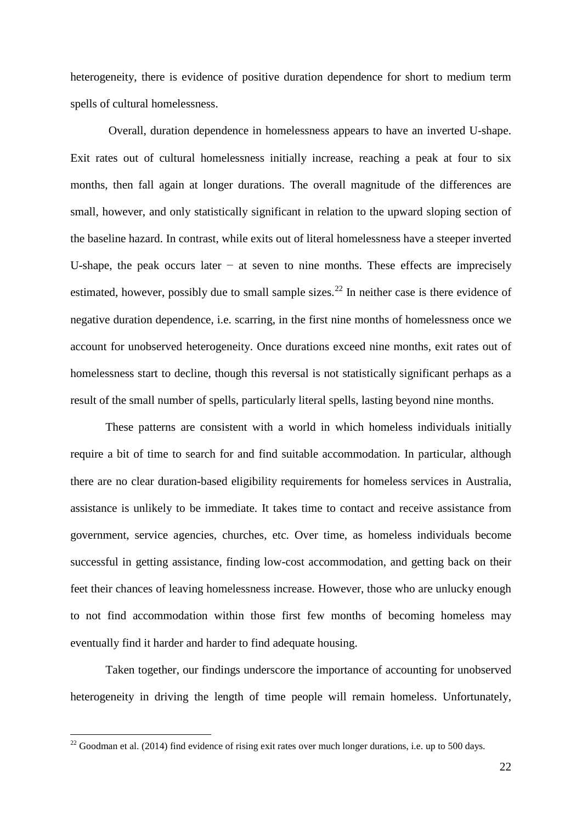heterogeneity, there is evidence of positive duration dependence for short to medium term spells of cultural homelessness.

Overall, duration dependence in homelessness appears to have an inverted U-shape. Exit rates out of cultural homelessness initially increase, reaching a peak at four to six months, then fall again at longer durations. The overall magnitude of the differences are small, however, and only statistically significant in relation to the upward sloping section of the baseline hazard. In contrast, while exits out of literal homelessness have a steeper inverted U-shape, the peak occurs later  $-$  at seven to nine months. These effects are imprecisely estimated, however, possibly due to small sample sizes.<sup>[22](#page-22-0)</sup> In neither case is there evidence of negative duration dependence, i.e. scarring, in the first nine months of homelessness once we account for unobserved heterogeneity. Once durations exceed nine months, exit rates out of homelessness start to decline, though this reversal is not statistically significant perhaps as a result of the small number of spells, particularly literal spells, lasting beyond nine months.

These patterns are consistent with a world in which homeless individuals initially require a bit of time to search for and find suitable accommodation. In particular, although there are no clear duration-based eligibility requirements for homeless services in Australia, assistance is unlikely to be immediate. It takes time to contact and receive assistance from government, service agencies, churches, etc. Over time, as homeless individuals become successful in getting assistance, finding low-cost accommodation, and getting back on their feet their chances of leaving homelessness increase. However, those who are unlucky enough to not find accommodation within those first few months of becoming homeless may eventually find it harder and harder to find adequate housing.

Taken together, our findings underscore the importance of accounting for unobserved heterogeneity in driving the length of time people will remain homeless. Unfortunately,

<span id="page-23-0"></span> $22$  Goodman et al. (2014) find evidence of rising exit rates over much longer durations, i.e. up to 500 days.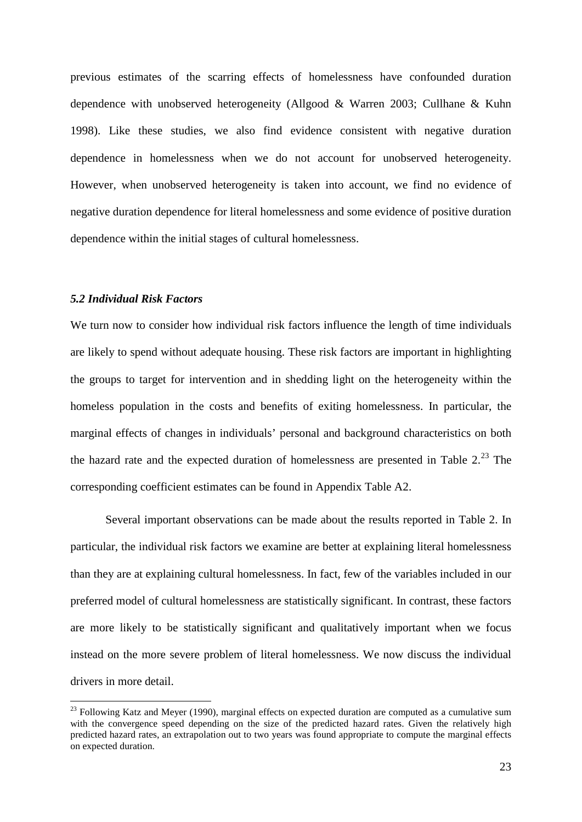previous estimates of the scarring effects of homelessness have confounded duration dependence with unobserved heterogeneity (Allgood & Warren 2003; Cullhane & Kuhn 1998). Like these studies, we also find evidence consistent with negative duration dependence in homelessness when we do not account for unobserved heterogeneity. However, when unobserved heterogeneity is taken into account, we find no evidence of negative duration dependence for literal homelessness and some evidence of positive duration dependence within the initial stages of cultural homelessness.

#### *5.2 Individual Risk Factors*

We turn now to consider how individual risk factors influence the length of time individuals are likely to spend without adequate housing. These risk factors are important in highlighting the groups to target for intervention and in shedding light on the heterogeneity within the homeless population in the costs and benefits of exiting homelessness. In particular, the marginal effects of changes in individuals' personal and background characteristics on both the hazard rate and the expected duration of homelessness are presented in Table  $2.^{23}$  $2.^{23}$  $2.^{23}$  The corresponding coefficient estimates can be found in Appendix Table A2.

Several important observations can be made about the results reported in Table 2. In particular, the individual risk factors we examine are better at explaining literal homelessness than they are at explaining cultural homelessness. In fact, few of the variables included in our preferred model of cultural homelessness are statistically significant. In contrast, these factors are more likely to be statistically significant and qualitatively important when we focus instead on the more severe problem of literal homelessness. We now discuss the individual drivers in more detail.

<span id="page-24-0"></span> $23$  Following Katz and Meyer (1990), marginal effects on expected duration are computed as a cumulative sum with the convergence speed depending on the size of the predicted hazard rates. Given the relatively high predicted hazard rates, an extrapolation out to two years was found appropriate to compute the marginal effects on expected duration.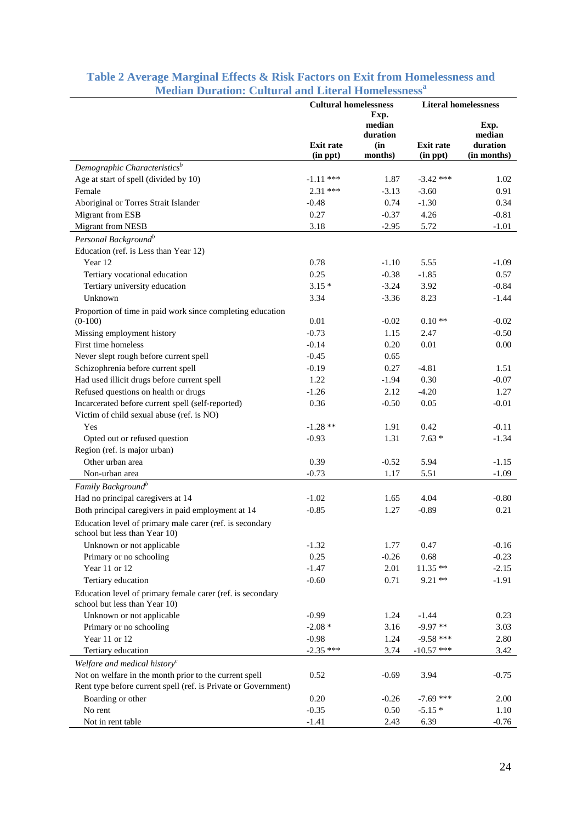|                                                                | <b>Cultural homelessness</b> |          | <b>Literal homelessness</b> |             |  |
|----------------------------------------------------------------|------------------------------|----------|-----------------------------|-------------|--|
|                                                                |                              | Exp.     |                             |             |  |
|                                                                |                              | median   |                             | Exp.        |  |
|                                                                |                              | duration |                             | median      |  |
|                                                                | <b>Exit rate</b>             | (in      | <b>Exit rate</b>            | duration    |  |
|                                                                | (in ppt)                     | months)  | (in ppt)                    | (in months) |  |
| Demographic Characteristics <sup>b</sup>                       |                              |          |                             |             |  |
| Age at start of spell (divided by 10)                          | $-1.11$ ***                  | 1.87     | $-3.42$ ***                 | 1.02        |  |
| Female                                                         | $2.31***$                    | $-3.13$  | $-3.60$                     | 0.91        |  |
| Aboriginal or Torres Strait Islander                           | $-0.48$                      | 0.74     | $-1.30$                     | 0.34        |  |
| Migrant from ESB                                               | 0.27                         | $-0.37$  | 4.26                        | $-0.81$     |  |
| <b>Migrant from NESB</b>                                       | 3.18                         | $-2.95$  | 5.72                        | $-1.01$     |  |
| Personal Background <sup>b</sup>                               |                              |          |                             |             |  |
| Education (ref. is Less than Year 12)                          |                              |          |                             |             |  |
| Year 12                                                        | 0.78                         | $-1.10$  | 5.55                        | $-1.09$     |  |
| Tertiary vocational education                                  | 0.25                         | $-0.38$  | $-1.85$                     | 0.57        |  |
| Tertiary university education                                  | $3.15*$                      | $-3.24$  | 3.92                        | $-0.84$     |  |
| Unknown                                                        | 3.34                         | $-3.36$  | 8.23                        | $-1.44$     |  |
| Proportion of time in paid work since completing education     |                              |          |                             |             |  |
| $(0-100)$                                                      | 0.01                         | $-0.02$  | $0.10**$                    | $-0.02$     |  |
| Missing employment history                                     | $-0.73$                      | 1.15     | 2.47                        | $-0.50$     |  |
| First time homeless                                            | $-0.14$                      | 0.20     | 0.01                        | $0.00\,$    |  |
| Never slept rough before current spell                         | $-0.45$                      | 0.65     |                             |             |  |
| Schizophrenia before current spell                             | $-0.19$                      | 0.27     | $-4.81$                     | 1.51        |  |
| Had used illicit drugs before current spell                    | 1.22                         | $-1.94$  | 0.30                        | $-0.07$     |  |
| Refused questions on health or drugs                           | $-1.26$                      | 2.12     | $-4.20$                     | 1.27        |  |
| Incarcerated before current spell (self-reported)              | 0.36                         | $-0.50$  | 0.05                        | $-0.01$     |  |
| Victim of child sexual abuse (ref. is NO)                      |                              |          |                             |             |  |
| Yes                                                            | $-1.28**$                    | 1.91     | 0.42                        | $-0.11$     |  |
| Opted out or refused question                                  | $-0.93$                      | 1.31     | $7.63*$                     | $-1.34$     |  |
| Region (ref. is major urban)                                   |                              |          |                             |             |  |
| Other urban area                                               | 0.39                         | $-0.52$  | 5.94                        | $-1.15$     |  |
| Non-urban area                                                 | $-0.73$                      | 1.17     | 5.51                        | $-1.09$     |  |
| Family Background <sup>b</sup>                                 |                              |          |                             |             |  |
| Had no principal caregivers at 14                              | $-1.02$                      | 1.65     | 4.04                        | $-0.80$     |  |
| Both principal caregivers in paid employment at 14             | $-0.85$                      | 1.27     | $-0.89$                     | 0.21        |  |
| Education level of primary male carer (ref. is secondary       |                              |          |                             |             |  |
| school but less than Year 10)                                  |                              |          |                             |             |  |
| Unknown or not applicable                                      | $-1.32$                      | 1.77     | 0.47                        | $-0.16$     |  |
| Primary or no schooling                                        | 0.25                         | $-0.26$  | 0.68                        | $-0.23$     |  |
| Year 11 or 12                                                  | $-1.47$                      | 2.01     | $11.35**$                   | $-2.15$     |  |
| Tertiary education                                             | $-0.60$                      | 0.71     | $9.21**$                    | $-1.91$     |  |
| Education level of primary female carer (ref. is secondary     |                              |          |                             |             |  |
| school but less than Year 10)                                  |                              |          |                             |             |  |
| Unknown or not applicable                                      | $-0.99$                      | 1.24     | $-1.44$                     | 0.23        |  |
| Primary or no schooling                                        | $-2.08*$                     | 3.16     | $-9.97**$                   | 3.03        |  |
| Year 11 or 12                                                  | $-0.98$                      | 1.24     | $-9.58$ ***                 | 2.80        |  |
| Tertiary education                                             | $-2.35$ ***                  | 3.74     | $-10.57$ ***                | 3.42        |  |
| Welfare and medical history <sup>c</sup>                       |                              |          |                             |             |  |
| Not on welfare in the month prior to the current spell         | 0.52                         | $-0.69$  | 3.94                        | $-0.75$     |  |
| Rent type before current spell (ref. is Private or Government) |                              |          |                             |             |  |
| Boarding or other                                              | 0.20                         | $-0.26$  | $-7.69$ ***                 | 2.00        |  |
| No rent                                                        | $-0.35$                      | 0.50     | $-5.15*$                    | 1.10        |  |
| Not in rent table                                              | $-1.41$                      | 2.43     | 6.39                        | $-0.76$     |  |

## **Table 2 Average Marginal Effects & Risk Factors on Exit from Homelessness and Median Duration: Cultural and Literal Homelessness<sup>a</sup>**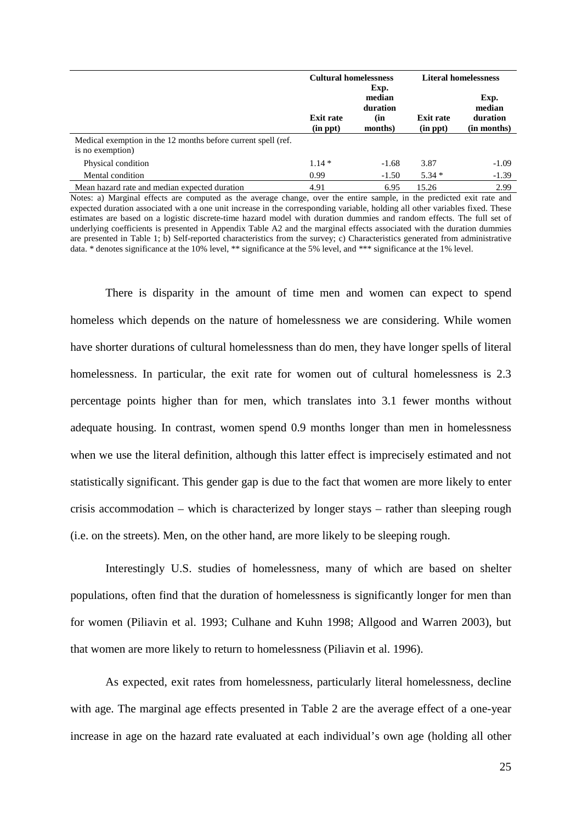|                                                                                   | <b>Cultural homelessness</b> | Exp.                      | <b>Literal homelessness</b> |                            |  |
|-----------------------------------------------------------------------------------|------------------------------|---------------------------|-----------------------------|----------------------------|--|
|                                                                                   | <b>Exit rate</b>             | median<br>duration<br>(in | <b>Exit rate</b>            | Exp.<br>median<br>duration |  |
|                                                                                   | $(in$ $ppt)$                 | months)                   | $(in$ ppt $)$               | (in months)                |  |
| Medical exemption in the 12 months before current spell (ref.<br>is no exemption) |                              |                           |                             |                            |  |
| Physical condition                                                                | $1.14*$                      | $-1.68$                   | 3.87                        | $-1.09$                    |  |
| Mental condition                                                                  | 0.99                         | $-1.50$                   | $5.34*$                     | $-1.39$                    |  |
| Mean hazard rate and median expected duration                                     | 4.91                         | 6.95                      | 15.26                       | 2.99                       |  |

Notes: a) Marginal effects are computed as the average change, over the entire sample, in the predicted exit rate and expected duration associated with a one unit increase in the corresponding variable, holding all other variables fixed. These estimates are based on a logistic discrete-time hazard model with duration dummies and random effects. The full set of underlying coefficients is presented in Appendix Table A2 and the marginal effects associated with the duration dummies are presented in Table 1; b) Self-reported characteristics from the survey; c) Characteristics generated from administrative data. \* denotes significance at the 10% level, \*\* significance at the 5% level, and \*\*\* significance at the 1% level.

There is disparity in the amount of time men and women can expect to spend homeless which depends on the nature of homelessness we are considering. While women have shorter durations of cultural homelessness than do men, they have longer spells of literal homelessness. In particular, the exit rate for women out of cultural homelessness is 2.3 percentage points higher than for men, which translates into 3.1 fewer months without adequate housing. In contrast, women spend 0.9 months longer than men in homelessness when we use the literal definition, although this latter effect is imprecisely estimated and not statistically significant. This gender gap is due to the fact that women are more likely to enter crisis accommodation – which is characterized by longer stays – rather than sleeping rough (i.e. on the streets). Men, on the other hand, are more likely to be sleeping rough.

Interestingly U.S. studies of homelessness, many of which are based on shelter populations, often find that the duration of homelessness is significantly longer for men than for women (Piliavin et al. 1993; Culhane and Kuhn 1998; Allgood and Warren 2003), but that women are more likely to return to homelessness (Piliavin et al. 1996).

As expected, exit rates from homelessness, particularly literal homelessness, decline with age. The marginal age effects presented in Table 2 are the average effect of a one-year increase in age on the hazard rate evaluated at each individual's own age (holding all other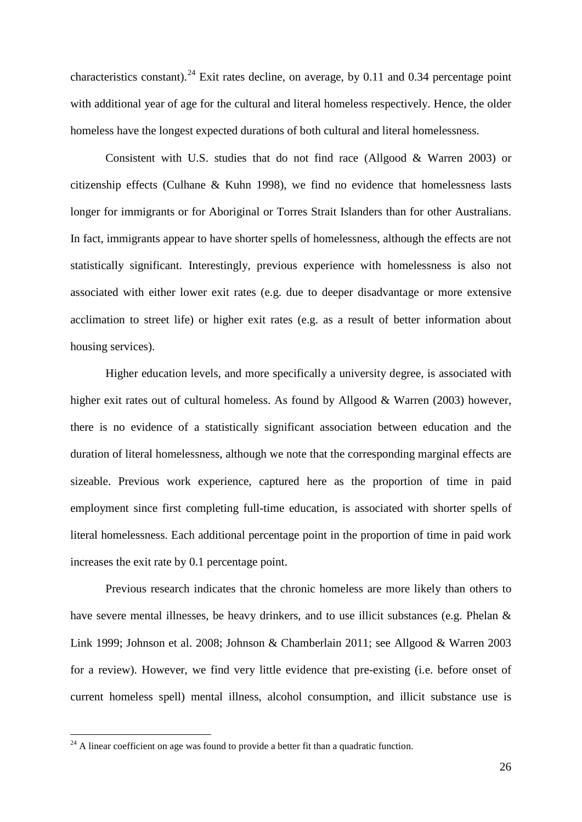characteristics constant).<sup>[24](#page-24-0)</sup> Exit rates decline, on average, by 0.11 and 0.34 percentage point with additional year of age for the cultural and literal homeless respectively. Hence, the older homeless have the longest expected durations of both cultural and literal homelessness.

Consistent with U.S. studies that do not find race (Allgood & Warren 2003) or citizenship effects (Culhane & Kuhn 1998), we find no evidence that homelessness lasts longer for immigrants or for Aboriginal or Torres Strait Islanders than for other Australians. In fact, immigrants appear to have shorter spells of homelessness, although the effects are not statistically significant. Interestingly, previous experience with homelessness is also not associated with either lower exit rates (e.g. due to deeper disadvantage or more extensive acclimation to street life) or higher exit rates (e.g. as a result of better information about housing services).

Higher education levels, and more specifically a university degree, is associated with higher exit rates out of cultural homeless. As found by Allgood & Warren (2003) however, there is no evidence of a statistically significant association between education and the duration of literal homelessness, although we note that the corresponding marginal effects are sizeable. Previous work experience, captured here as the proportion of time in paid employment since first completing full-time education, is associated with shorter spells of literal homelessness. Each additional percentage point in the proportion of time in paid work increases the exit rate by 0.1 percentage point.

Previous research indicates that the chronic homeless are more likely than others to have severe mental illnesses, be heavy drinkers, and to use illicit substances (e.g. Phelan & Link 1999; Johnson et al. 2008; Johnson & Chamberlain 2011; see Allgood & Warren 2003 for a review). However, we find very little evidence that pre-existing (i.e. before onset of current homeless spell) mental illness, alcohol consumption, and illicit substance use is

<span id="page-27-0"></span> $24$  A linear coefficient on age was found to provide a better fit than a quadratic function.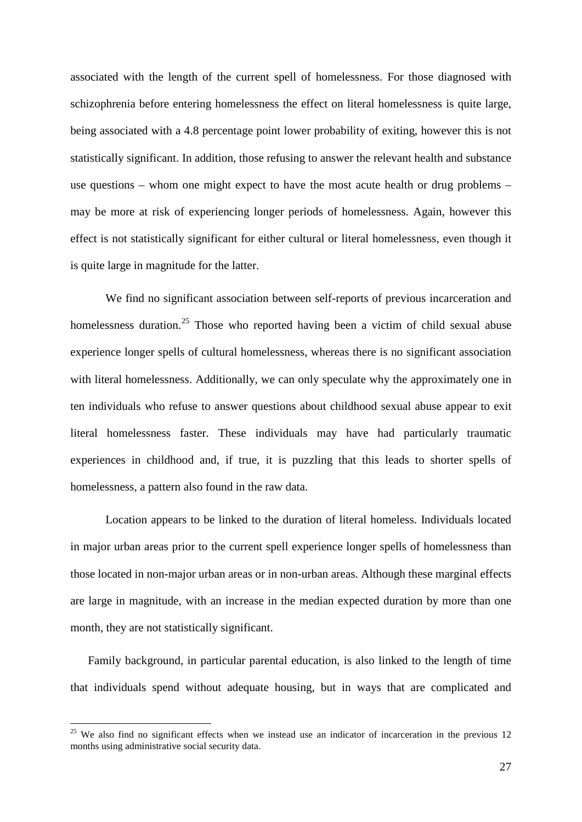associated with the length of the current spell of homelessness. For those diagnosed with schizophrenia before entering homelessness the effect on literal homelessness is quite large, being associated with a 4.8 percentage point lower probability of exiting, however this is not statistically significant. In addition, those refusing to answer the relevant health and substance use questions – whom one might expect to have the most acute health or drug problems – may be more at risk of experiencing longer periods of homelessness. Again, however this effect is not statistically significant for either cultural or literal homelessness, even though it is quite large in magnitude for the latter.

We find no significant association between self-reports of previous incarceration and homelessness duration.<sup>[25](#page-27-0)</sup> Those who reported having been a victim of child sexual abuse experience longer spells of cultural homelessness, whereas there is no significant association with literal homelessness. Additionally, we can only speculate why the approximately one in ten individuals who refuse to answer questions about childhood sexual abuse appear to exit literal homelessness faster. These individuals may have had particularly traumatic experiences in childhood and, if true, it is puzzling that this leads to shorter spells of homelessness, a pattern also found in the raw data.

Location appears to be linked to the duration of literal homeless. Individuals located in major urban areas prior to the current spell experience longer spells of homelessness than those located in non-major urban areas or in non-urban areas. Although these marginal effects are large in magnitude, with an increase in the median expected duration by more than one month, they are not statistically significant.

Family background, in particular parental education, is also linked to the length of time that individuals spend without adequate housing, but in ways that are complicated and

<span id="page-28-0"></span> $25$  We also find no significant effects when we instead use an indicator of incarceration in the previous 12 months using administrative social security data.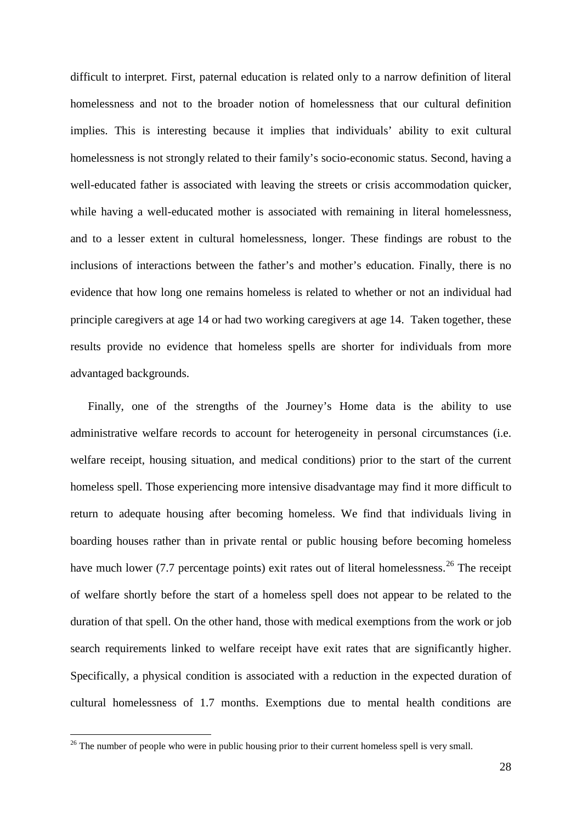difficult to interpret. First, paternal education is related only to a narrow definition of literal homelessness and not to the broader notion of homelessness that our cultural definition implies. This is interesting because it implies that individuals' ability to exit cultural homelessness is not strongly related to their family's socio-economic status. Second, having a well-educated father is associated with leaving the streets or crisis accommodation quicker, while having a well-educated mother is associated with remaining in literal homelessness, and to a lesser extent in cultural homelessness, longer. These findings are robust to the inclusions of interactions between the father's and mother's education. Finally, there is no evidence that how long one remains homeless is related to whether or not an individual had principle caregivers at age 14 or had two working caregivers at age 14. Taken together, these results provide no evidence that homeless spells are shorter for individuals from more advantaged backgrounds.

Finally, one of the strengths of the Journey's Home data is the ability to use administrative welfare records to account for heterogeneity in personal circumstances (i.e. welfare receipt, housing situation, and medical conditions) prior to the start of the current homeless spell. Those experiencing more intensive disadvantage may find it more difficult to return to adequate housing after becoming homeless. We find that individuals living in boarding houses rather than in private rental or public housing before becoming homeless have much lower (7.7 percentage points) exit rates out of literal homelessness.<sup>[26](#page-28-0)</sup> The receipt of welfare shortly before the start of a homeless spell does not appear to be related to the duration of that spell. On the other hand, those with medical exemptions from the work or job search requirements linked to welfare receipt have exit rates that are significantly higher. Specifically, a physical condition is associated with a reduction in the expected duration of cultural homelessness of 1.7 months. Exemptions due to mental health conditions are

<sup>&</sup>lt;sup>26</sup> The number of people who were in public housing prior to their current homeless spell is very small.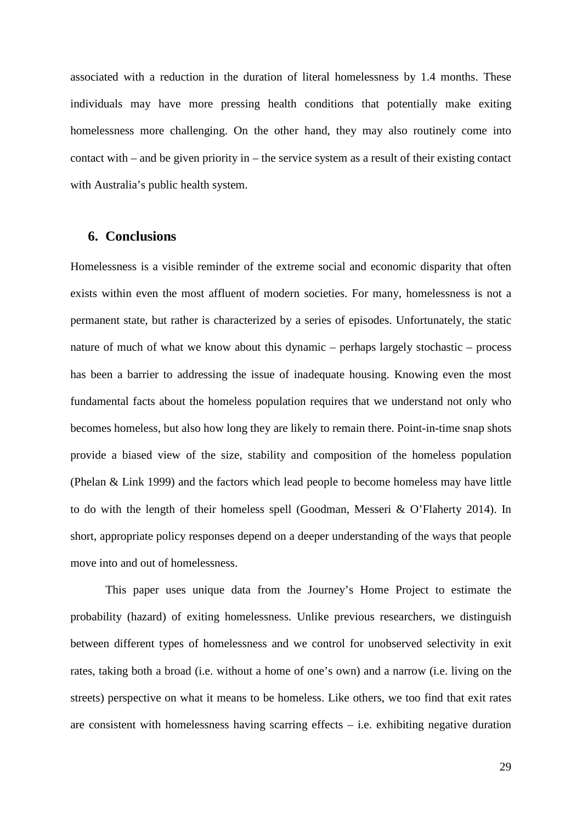associated with a reduction in the duration of literal homelessness by 1.4 months. These individuals may have more pressing health conditions that potentially make exiting homelessness more challenging. On the other hand, they may also routinely come into contact with – and be given priority in – the service system as a result of their existing contact with Australia's public health system.

### **6. Conclusions**

Homelessness is a visible reminder of the extreme social and economic disparity that often exists within even the most affluent of modern societies. For many, homelessness is not a permanent state, but rather is characterized by a series of episodes. Unfortunately, the static nature of much of what we know about this dynamic – perhaps largely stochastic – process has been a barrier to addressing the issue of inadequate housing. Knowing even the most fundamental facts about the homeless population requires that we understand not only who becomes homeless, but also how long they are likely to remain there. Point-in-time snap shots provide a biased view of the size, stability and composition of the homeless population (Phelan & Link 1999) and the factors which lead people to become homeless may have little to do with the length of their homeless spell (Goodman, Messeri & O'Flaherty 2014). In short, appropriate policy responses depend on a deeper understanding of the ways that people move into and out of homelessness.

This paper uses unique data from the Journey's Home Project to estimate the probability (hazard) of exiting homelessness. Unlike previous researchers, we distinguish between different types of homelessness and we control for unobserved selectivity in exit rates, taking both a broad (i.e. without a home of one's own) and a narrow (i.e. living on the streets) perspective on what it means to be homeless. Like others, we too find that exit rates are consistent with homelessness having scarring effects  $-$  i.e. exhibiting negative duration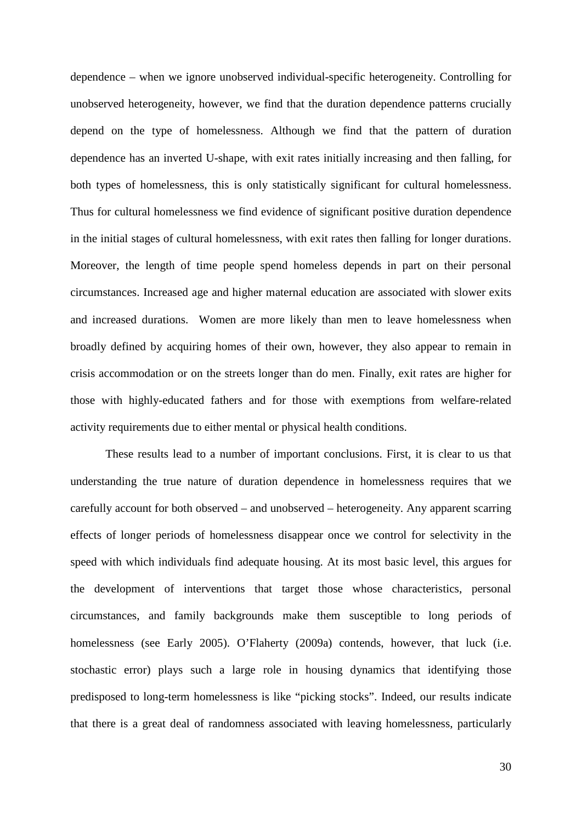dependence – when we ignore unobserved individual-specific heterogeneity. Controlling for unobserved heterogeneity, however, we find that the duration dependence patterns crucially depend on the type of homelessness. Although we find that the pattern of duration dependence has an inverted U-shape, with exit rates initially increasing and then falling, for both types of homelessness, this is only statistically significant for cultural homelessness. Thus for cultural homelessness we find evidence of significant positive duration dependence in the initial stages of cultural homelessness, with exit rates then falling for longer durations. Moreover, the length of time people spend homeless depends in part on their personal circumstances. Increased age and higher maternal education are associated with slower exits and increased durations. Women are more likely than men to leave homelessness when broadly defined by acquiring homes of their own, however, they also appear to remain in crisis accommodation or on the streets longer than do men. Finally, exit rates are higher for those with highly-educated fathers and for those with exemptions from welfare-related activity requirements due to either mental or physical health conditions.

These results lead to a number of important conclusions. First, it is clear to us that understanding the true nature of duration dependence in homelessness requires that we carefully account for both observed – and unobserved – heterogeneity. Any apparent scarring effects of longer periods of homelessness disappear once we control for selectivity in the speed with which individuals find adequate housing. At its most basic level, this argues for the development of interventions that target those whose characteristics, personal circumstances, and family backgrounds make them susceptible to long periods of homelessness (see Early 2005). O'Flaherty (2009a) contends, however, that luck (i.e. stochastic error) plays such a large role in housing dynamics that identifying those predisposed to long-term homelessness is like "picking stocks". Indeed, our results indicate that there is a great deal of randomness associated with leaving homelessness, particularly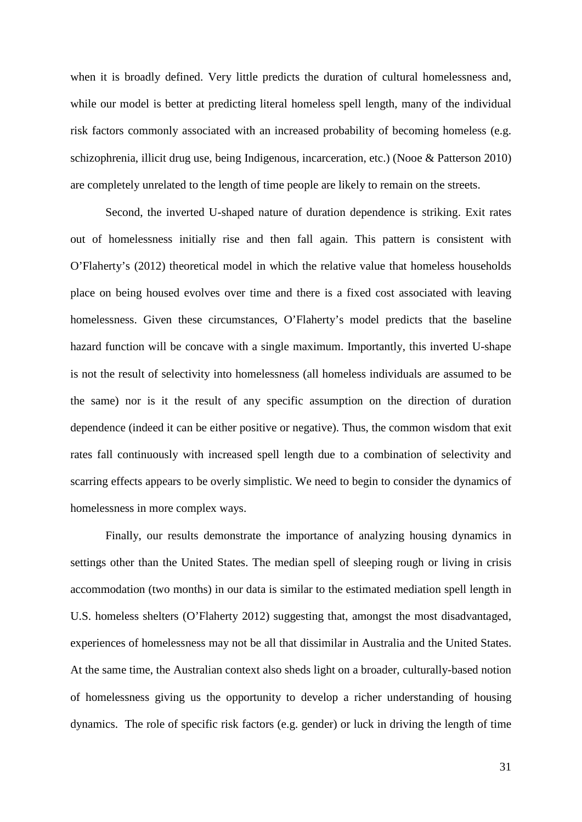when it is broadly defined. Very little predicts the duration of cultural homelessness and, while our model is better at predicting literal homeless spell length, many of the individual risk factors commonly associated with an increased probability of becoming homeless (e.g. schizophrenia, illicit drug use, being Indigenous, incarceration, etc.) (Nooe & Patterson 2010) are completely unrelated to the length of time people are likely to remain on the streets.

Second, the inverted U-shaped nature of duration dependence is striking. Exit rates out of homelessness initially rise and then fall again. This pattern is consistent with O'Flaherty's (2012) theoretical model in which the relative value that homeless households place on being housed evolves over time and there is a fixed cost associated with leaving homelessness. Given these circumstances, O'Flaherty's model predicts that the baseline hazard function will be concave with a single maximum. Importantly, this inverted U-shape is not the result of selectivity into homelessness (all homeless individuals are assumed to be the same) nor is it the result of any specific assumption on the direction of duration dependence (indeed it can be either positive or negative). Thus, the common wisdom that exit rates fall continuously with increased spell length due to a combination of selectivity and scarring effects appears to be overly simplistic. We need to begin to consider the dynamics of homelessness in more complex ways.

Finally, our results demonstrate the importance of analyzing housing dynamics in settings other than the United States. The median spell of sleeping rough or living in crisis accommodation (two months) in our data is similar to the estimated mediation spell length in U.S. homeless shelters (O'Flaherty 2012) suggesting that, amongst the most disadvantaged, experiences of homelessness may not be all that dissimilar in Australia and the United States. At the same time, the Australian context also sheds light on a broader, culturally-based notion of homelessness giving us the opportunity to develop a richer understanding of housing dynamics. The role of specific risk factors (e.g. gender) or luck in driving the length of time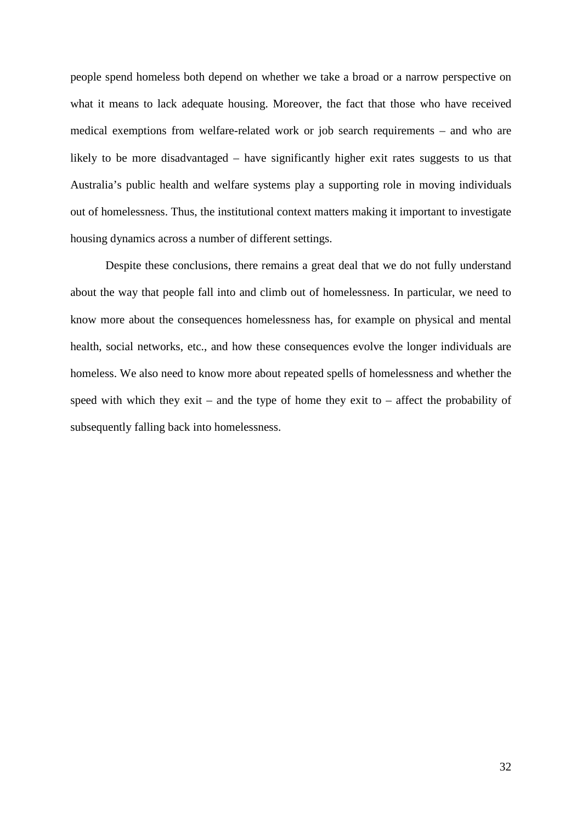people spend homeless both depend on whether we take a broad or a narrow perspective on what it means to lack adequate housing. Moreover, the fact that those who have received medical exemptions from welfare-related work or job search requirements – and who are likely to be more disadvantaged – have significantly higher exit rates suggests to us that Australia's public health and welfare systems play a supporting role in moving individuals out of homelessness. Thus, the institutional context matters making it important to investigate housing dynamics across a number of different settings.

Despite these conclusions, there remains a great deal that we do not fully understand about the way that people fall into and climb out of homelessness. In particular, we need to know more about the consequences homelessness has, for example on physical and mental health, social networks, etc., and how these consequences evolve the longer individuals are homeless. We also need to know more about repeated spells of homelessness and whether the speed with which they exit – and the type of home they exit to – affect the probability of subsequently falling back into homelessness.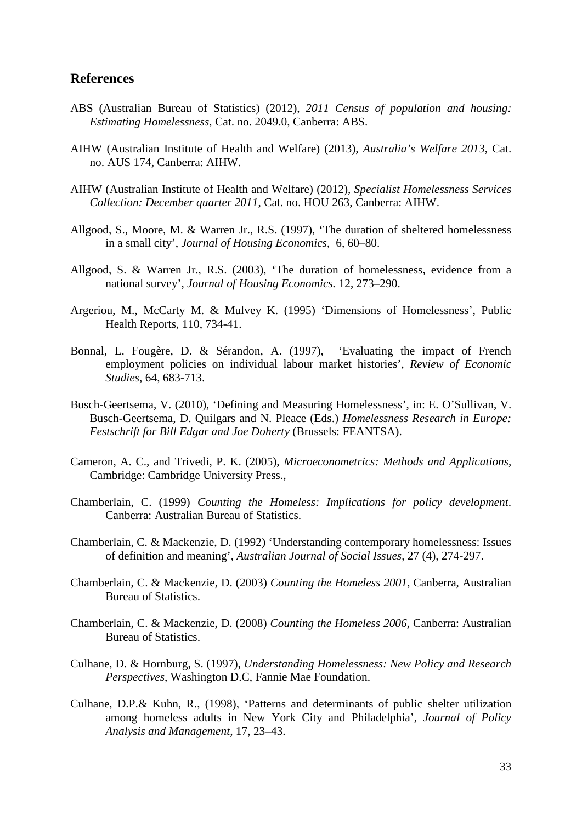## **References**

- ABS (Australian Bureau of Statistics) (2012), *2011 Census of population and housing: Estimating Homelessness*, Cat. no. 2049.0, Canberra: ABS.
- AIHW (Australian Institute of Health and Welfare) (2013), *Australia's Welfare 2013*, Cat. no. AUS 174, Canberra: AIHW.
- AIHW (Australian Institute of Health and Welfare) (2012), *Specialist Homelessness Services Collection: December quarter 2011*, Cat. no. HOU 263, Canberra: AIHW.
- Allgood, S., Moore, M. & Warren Jr., R.S. (1997), 'The duration of sheltered homelessness in a small city', *Journal of Housing Economics*, 6, 60–80.
- Allgood, S. & Warren Jr., R.S. (2003), 'The duration of homelessness, evidence from a national survey', *Journal of Housing Economics.* 12, 273–290.
- Argeriou, M., McCarty M. & Mulvey K. (1995) 'Dimensions of Homelessness', Public Health Reports, 110, 734-41.
- Bonnal, L. Fougère, D. & Sérandon, A. (1997), 'Evaluating the impact of French employment policies on individual labour market histories', *Review of Economic Studies*, 64, 683-713.
- Busch-Geertsema, V. (2010), 'Defining and Measuring Homelessness', in: E. O'Sullivan, V. Busch-Geertsema, D. Quilgars and N. Pleace (Eds.) *Homelessness Research in Europe: Festschrift for Bill Edgar and Joe Doherty* (Brussels: FEANTSA).
- Cameron, A. C., and Trivedi, P. K. (2005), *Microeconometrics: Methods and Applications*, Cambridge: Cambridge University Press.,
- Chamberlain, C. (1999) *Counting the Homeless: Implications for policy development*. Canberra: Australian Bureau of Statistics.
- Chamberlain, C. & Mackenzie, D. (1992) 'Understanding contemporary homelessness: Issues of definition and meaning', *Australian Journal of Social Issues*, 27 (4), 274-297.
- Chamberlain, C. & Mackenzie, D. (2003) *Counting the Homeless 2001,* Canberra, Australian Bureau of Statistics.
- Chamberlain, C. & Mackenzie, D. (2008) *Counting the Homeless 2006,* Canberra: Australian Bureau of Statistics.
- Culhane, D. & Hornburg, S. (1997), *Understanding Homelessness: New Policy and Research Perspectives*, Washington D.C, Fannie Mae Foundation.
- Culhane, D.P.& Kuhn, R., (1998), 'Patterns and determinants of public shelter utilization among homeless adults in New York City and Philadelphia', *Journal of Policy Analysis and Management,* 17, 23–43.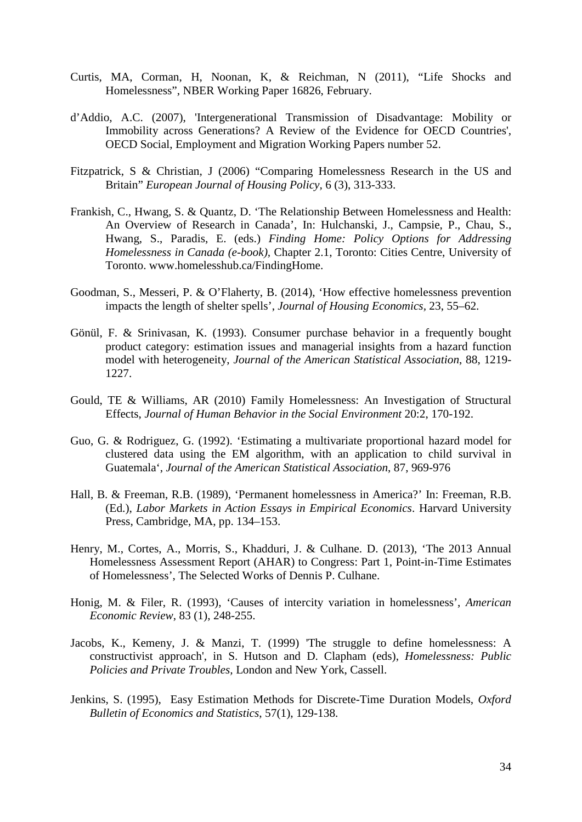- Curtis, MA, Corman, H, Noonan, K, & Reichman, N (2011), "Life Shocks and Homelessness", NBER Working Paper 16826, February.
- d'Addio, A.C. (2007), 'Intergenerational Transmission of Disadvantage: Mobility or Immobility across Generations? A Review of the Evidence for OECD Countries', OECD Social, Employment and Migration Working Papers number 52.
- Fitzpatrick, S & Christian, J (2006) "Comparing Homelessness Research in the US and Britain" *European Journal of Housing Policy,* 6 (3), 313-333.
- Frankish, C., Hwang, S. & Quantz, D. 'The Relationship Between Homelessness and Health: An Overview of Research in Canada', In: Hulchanski, J., Campsie, P., Chau, S., Hwang, S., Paradis, E. (eds.) *Finding Home: Policy Options for Addressing Homelessness in Canada (e-book),* Chapter 2.1, Toronto: Cities Centre, University of Toronto. www.homelesshub.ca/FindingHome.
- Goodman, S., Messeri, P. & O'Flaherty, B. (2014), 'How effective homelessness prevention impacts the length of shelter spells', *Journal of Housing Economics,* 23, 55–62.
- Gönül, F. & Srinivasan, K. (1993). Consumer purchase behavior in a frequently bought product category: estimation issues and managerial insights from a hazard function model with heterogeneity, *Journal of the American Statistical Association*, 88, 1219- 1227.
- Gould, TE & Williams, AR (2010) Family Homelessness: An Investigation of Structural Effects, *Journal of Human Behavior in the Social Environment* 20:2, 170-192.
- Guo, G. & Rodriguez, G. (1992). 'Estimating a multivariate proportional hazard model for clustered data using the EM algorithm, with an application to child survival in Guatemala', *Journal of the American Statistical Association*, 87, 969-976
- Hall, B. & Freeman, R.B. (1989), 'Permanent homelessness in America?' In: Freeman, R.B. (Ed.), *Labor Markets in Action Essays in Empirical Economics*. Harvard University Press, Cambridge, MA, pp. 134–153.
- Henry, M., Cortes, A., Morris, S., Khadduri, J. & Culhane. D. (2013), 'The 2013 Annual Homelessness Assessment Report (AHAR) to Congress: Part 1, Point-in-Time Estimates of Homelessness', The Selected Works of Dennis P. Culhane.
- Honig, M. & Filer, R. (1993), 'Causes of intercity variation in homelessness', *American Economic Review*, 83 (1), 248-255.
- Jacobs, K., Kemeny, J. & Manzi, T. (1999) 'The struggle to define homelessness: A constructivist approach', in S. Hutson and D. Clapham (eds), *Homelessness: Public Policies and Private Troubles,* London and New York, Cassell.
- Jenkins, S. (1995), Easy Estimation Methods for Discrete-Time Duration Models, *Oxford Bulletin of Economics and Statistics*, 57(1), 129-138.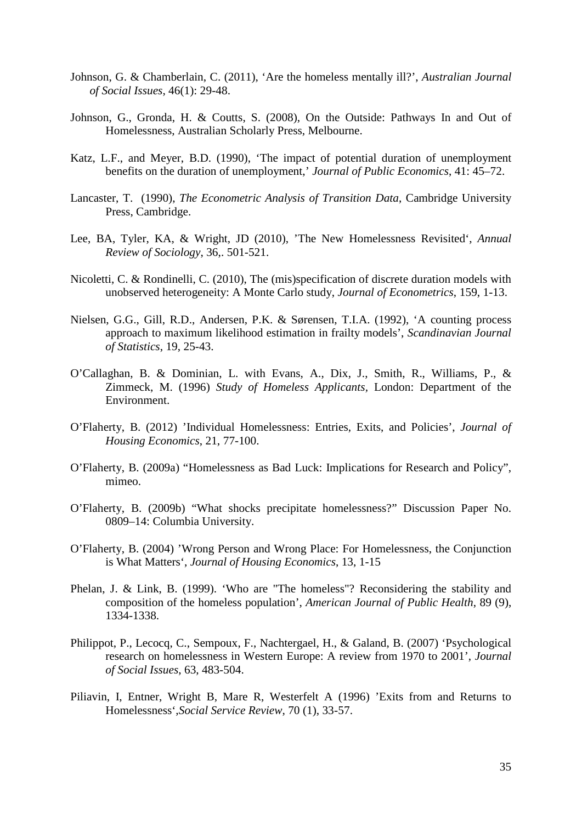- Johnson, G. & Chamberlain, C. (2011), 'Are the homeless mentally ill?', *Australian Journal of Social Issues*, 46(1): 29-48.
- Johnson, G., Gronda, H. & Coutts, S. (2008), On the Outside: Pathways In and Out of Homelessness, Australian Scholarly Press, Melbourne.
- Katz, L.F., and Meyer, B.D. (1990), 'The impact of potential duration of unemployment benefits on the duration of unemployment,' *Journal of Public Economics*, 41: 45–72.
- Lancaster, T. (1990), *The Econometric Analysis of Transition Data*, Cambridge University Press, Cambridge.
- Lee, BA, Tyler, KA, & Wright, JD (2010), 'The New Homelessness Revisited', *Annual Review of Sociology*, 36,. 501-521.
- Nicoletti, C. & Rondinelli, C. (2010), The (mis)specification of discrete duration models with unobserved heterogeneity: A Monte Carlo study, *Journal of Econometrics*, 159, 1-13.
- Nielsen, G.G., Gill, R.D., Andersen, P.K. & Sørensen, T.I.A. (1992), 'A counting process approach to maximum likelihood estimation in frailty models', *Scandinavian Journal of Statistics*, 19, 25-43.
- O'Callaghan, B. & Dominian, L. with Evans, A., Dix, J., Smith, R., Williams, P., & Zimmeck, M. (1996) *Study of Homeless Applicants,* London: Department of the Environment.
- O'Flaherty, B. (2012) 'Individual Homelessness: Entries, Exits, and Policies', *Journal of Housing Economics*, 21, 77-100.
- O'Flaherty, B. (2009a) "Homelessness as Bad Luck: Implications for Research and Policy", mimeo.
- O'Flaherty, B. (2009b) "What shocks precipitate homelessness?" Discussion Paper No. 0809–14: Columbia University.
- O'Flaherty, B. (2004) 'Wrong Person and Wrong Place: For Homelessness, the Conjunction is What Matters', *Journal of Housing Economics*, 13, 1-15
- Phelan, J. & Link, B. (1999). 'Who are "The homeless"? Reconsidering the stability and composition of the homeless population', *American Journal of Public Health*, 89 (9), 1334-1338.
- Philippot, P., Lecocq, C., Sempoux, F., Nachtergael, H., & Galand, B. (2007) 'Psychological research on homelessness in Western Europe: A review from 1970 to 2001', *Journal of Social Issues*, 63, 483-504.
- Piliavin, I, Entner, Wright B, Mare R, Westerfelt A (1996) 'Exits from and Returns to Homelessness',*Social Service Review*, 70 (1), 33-57.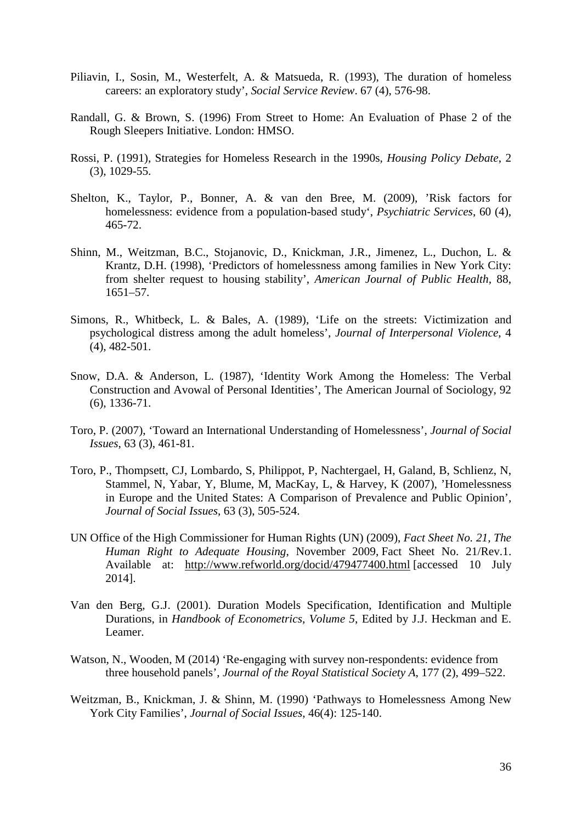- Piliavin, I., Sosin, M., Westerfelt, A. & Matsueda, R. (1993), The duration of homeless careers: an exploratory study', *Social Service Review*. 67 (4), 576-98.
- Randall, G. & Brown, S. (1996) From Street to Home: An Evaluation of Phase 2 of the Rough Sleepers Initiative. London: HMSO.
- Rossi, P. (1991), Strategies for Homeless Research in the 1990s, *Housing Policy Debate*, 2 (3), 1029-55.
- Shelton, K., Taylor, P., Bonner, A. & van den Bree, M. (2009), 'Risk factors for homelessness: evidence from a population-based study', *Psychiatric Services*, 60 (4), 465-72.
- Shinn, M., Weitzman, B.C., Stojanovic, D., Knickman, J.R., Jimenez, L., Duchon, L. & Krantz, D.H. (1998), 'Predictors of homelessness among families in New York City: from shelter request to housing stability', *American Journal of Public Health,* 88, 1651–57.
- Simons, R., Whitbeck, L. & Bales, A. (1989), 'Life on the streets: Victimization and psychological distress among the adult homeless', *Journal of Interpersonal Violence*, 4 (4), 482-501.
- Snow, D.A. & Anderson, L. (1987), 'Identity Work Among the Homeless: The Verbal Construction and Avowal of Personal Identities', The American Journal of Sociology, 92 (6), 1336-71.
- Toro, P. (2007), 'Toward an International Understanding of Homelessness', *Journal of Social Issues*, 63 (3), 461-81.
- Toro, P., Thompsett, CJ, Lombardo, S, Philippot, P, Nachtergael, H, Galand, B, Schlienz, N, Stammel, N, Yabar, Y, Blume, M, MacKay, L, & Harvey, K (2007), 'Homelessness in Europe and the United States: A Comparison of Prevalence and Public Opinion', *Journal of Social Issues*, 63 (3), 505-524.
- UN Office of the High Commissioner for Human Rights (UN) (2009), *Fact Sheet No. 21, The Human Right to Adequate Housing*, November 2009, Fact Sheet No. 21/Rev.1. Available at: <http://www.refworld.org/docid/479477400.html> [accessed 10 July 2014].
- Van den Berg, G.J. (2001). Duration Models Specification, Identification and Multiple Durations, in *Handbook of Econometrics, Volume 5*, Edited by J.J. Heckman and E. Leamer.
- Watson, N., Wooden, M (2014) 'Re-engaging with survey non-respondents: evidence from three household panels', *Journal of the Royal Statistical Society A*, 177 (2), 499–522.
- Weitzman, B., Knickman, J. & Shinn, M. (1990) 'Pathways to Homelessness Among New York City Families', *Journal of Social Issues*, 46(4): 125-140.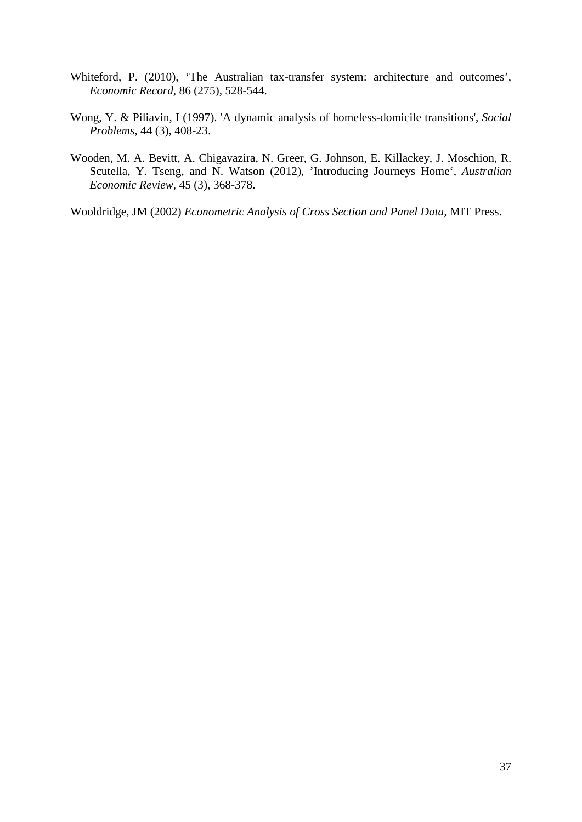- Whiteford, P. (2010), 'The Australian tax-transfer system: architecture and outcomes', *Economic Record*, 86 (275), 528-544.
- Wong, Y. & Piliavin, I (1997). 'A dynamic analysis of homeless-domicile transitions', *Social Problems*, 44 (3), 408-23.
- Wooden, M. A. Bevitt, A. Chigavazira, N. Greer, G. Johnson, E. Killackey, J. Moschion, R. Scutella, Y. Tseng, and N. Watson (2012), 'Introducing Journeys Home', *Australian Economic Review*, 45 (3), 368-378.

Wooldridge, JM (2002) *Econometric Analysis of Cross Section and Panel Data,* MIT Press.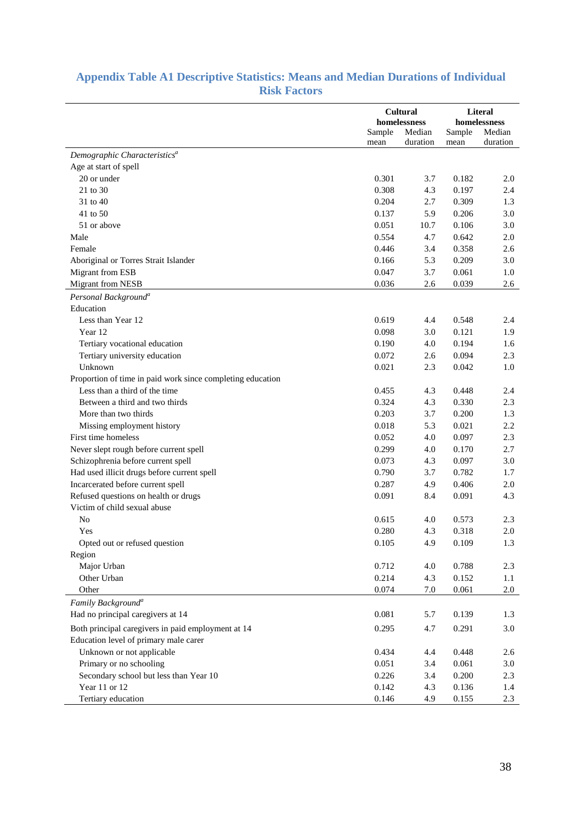|  | <b>Appendix Table A1 Descriptive Statistics: Means and Median Durations of Individual</b> |                     |  |  |  |
|--|-------------------------------------------------------------------------------------------|---------------------|--|--|--|
|  |                                                                                           | <b>Risk Factors</b> |  |  |  |

|                                                            |        |                          | Literal |              |  |
|------------------------------------------------------------|--------|--------------------------|---------|--------------|--|
|                                                            |        | Cultural<br>homelessness |         | homelessness |  |
|                                                            | Sample | Median                   | Sample  | Median       |  |
|                                                            | mean   | duration                 | mean    | duration     |  |
| Demographic Characteristics <sup>a</sup>                   |        |                          |         |              |  |
| Age at start of spell                                      |        |                          |         |              |  |
| 20 or under                                                | 0.301  | 3.7                      | 0.182   | 2.0          |  |
| 21 to 30                                                   | 0.308  | 4.3                      | 0.197   | 2.4          |  |
| 31 to 40                                                   | 0.204  | 2.7                      | 0.309   | 1.3          |  |
| 41 to 50                                                   | 0.137  | 5.9                      | 0.206   | 3.0          |  |
| 51 or above                                                | 0.051  | 10.7                     | 0.106   | 3.0          |  |
| Male                                                       | 0.554  | 4.7                      | 0.642   | 2.0          |  |
| Female                                                     | 0.446  | 3.4                      | 0.358   | 2.6          |  |
| Aboriginal or Torres Strait Islander                       | 0.166  | 5.3                      | 0.209   | 3.0          |  |
| Migrant from ESB                                           | 0.047  | 3.7                      | 0.061   | 1.0          |  |
| Migrant from NESB                                          | 0.036  | 2.6                      | 0.039   | 2.6          |  |
| Personal Background <sup>a</sup>                           |        |                          |         |              |  |
| Education                                                  |        |                          |         |              |  |
| Less than Year 12                                          | 0.619  | 4.4                      | 0.548   |              |  |
| Year 12                                                    | 0.098  | 3.0                      | 0.121   | 2.4<br>1.9   |  |
|                                                            |        |                          |         |              |  |
| Tertiary vocational education                              | 0.190  | 4.0                      | 0.194   | 1.6          |  |
| Tertiary university education                              | 0.072  | 2.6                      | 0.094   | 2.3          |  |
| Unknown                                                    | 0.021  | 2.3                      | 0.042   | 1.0          |  |
| Proportion of time in paid work since completing education |        |                          |         |              |  |
| Less than a third of the time                              | 0.455  | 4.3                      | 0.448   | 2.4          |  |
| Between a third and two thirds                             | 0.324  | 4.3                      | 0.330   | 2.3          |  |
| More than two thirds                                       | 0.203  | 3.7                      | 0.200   | 1.3          |  |
| Missing employment history                                 | 0.018  | 5.3                      | 0.021   | 2.2          |  |
| First time homeless                                        | 0.052  | 4.0                      | 0.097   | 2.3          |  |
| Never slept rough before current spell                     | 0.299  | 4.0                      | 0.170   | 2.7          |  |
| Schizophrenia before current spell                         | 0.073  | 4.3                      | 0.097   | 3.0          |  |
| Had used illicit drugs before current spell                | 0.790  | 3.7                      | 0.782   | 1.7          |  |
| Incarcerated before current spell                          | 0.287  | 4.9                      | 0.406   | 2.0          |  |
| Refused questions on health or drugs                       | 0.091  | 8.4                      | 0.091   | 4.3          |  |
| Victim of child sexual abuse                               |        |                          |         |              |  |
| N <sub>o</sub>                                             | 0.615  | 4.0                      | 0.573   | 2.3          |  |
| Yes                                                        | 0.280  | 4.3                      | 0.318   | 2.0          |  |
| Opted out or refused question                              | 0.105  | 4.9                      | 0.109   | 1.3          |  |
| Region                                                     |        |                          |         |              |  |
| Major Urban                                                | 0.712  | 4.0                      | 0.788   | 2.3          |  |
| Other Urban                                                | 0.214  | 4.3                      | 0.152   | 1.1          |  |
| Other                                                      | 0.074  | $7.0\,$                  | 0.061   | 2.0          |  |
| Family Background <sup>a</sup>                             |        |                          |         |              |  |
| Had no principal caregivers at 14                          | 0.081  | 5.7                      | 0.139   | 1.3          |  |
| Both principal caregivers in paid employment at 14         | 0.295  | 4.7                      | 0.291   | 3.0          |  |
| Education level of primary male carer                      |        |                          |         |              |  |
| Unknown or not applicable                                  | 0.434  | 4.4                      | 0.448   | 2.6          |  |
| Primary or no schooling                                    | 0.051  | 3.4                      | 0.061   | 3.0          |  |
| Secondary school but less than Year 10                     | 0.226  | 3.4                      | 0.200   | 2.3          |  |
| Year 11 or 12                                              | 0.142  | 4.3                      | 0.136   | 1.4          |  |
| Tertiary education                                         | 0.146  | 4.9                      | 0.155   | 2.3          |  |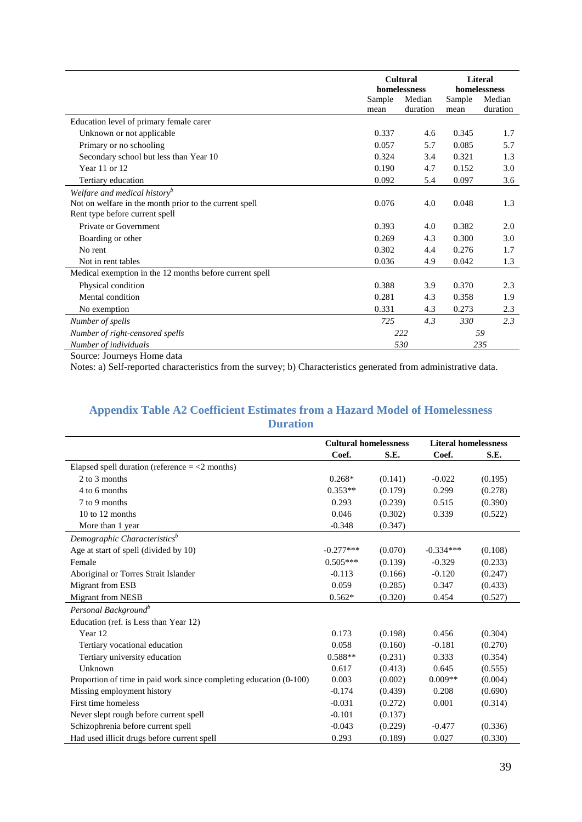|                                                         |        | homelessness       |                | <b>Literal</b><br>homelessness |
|---------------------------------------------------------|--------|--------------------|----------------|--------------------------------|
| mean                                                    | Sample | Median<br>duration | Sample<br>mean | Median<br>duration             |
| Education level of primary female carer                 |        |                    |                |                                |
| Unknown or not applicable                               | 0.337  | 4.6                | 0.345          | 1.7                            |
| Primary or no schooling                                 | 0.057  | 5.7                | 0.085          | 5.7                            |
| Secondary school but less than Year 10                  | 0.324  | 3.4                | 0.321          | 1.3                            |
| Year 11 or 12                                           | 0.190  | 4.7                | 0.152          | 3.0                            |
| Tertiary education                                      | 0.092  | 5.4                | 0.097          | 3.6                            |
| Welfare and medical history <sup>b</sup>                |        |                    |                |                                |
| Not on welfare in the month prior to the current spell  | 0.076  | 4.0                | 0.048          | 1.3                            |
| Rent type before current spell                          |        |                    |                |                                |
| Private or Government                                   | 0.393  | 4.0                | 0.382          | 2.0                            |
| Boarding or other                                       | 0.269  | 4.3                | 0.300          | 3.0                            |
| No rent                                                 | 0.302  | 4.4                | 0.276          | 1.7                            |
| Not in rent tables                                      | 0.036  | 4.9                | 0.042          | 1.3                            |
| Medical exemption in the 12 months before current spell |        |                    |                |                                |
| Physical condition                                      | 0.388  | 3.9                | 0.370          | 2.3                            |
| Mental condition                                        | 0.281  | 4.3                | 0.358          | 1.9                            |
| No exemption                                            | 0.331  | 4.3                | 0.273          | 2.3                            |
| Number of spells                                        | 725    | 4.3                | 330            | 2.3                            |
| Number of right-censored spells                         |        | 222                |                | 59                             |
| Number of individuals                                   |        | 530                |                | 235                            |

Source: Journeys Home data

Notes: a) Self-reported characteristics from the survey; b) Characteristics generated from administrative data.

### **Appendix Table A2 Coefficient Estimates from a Hazard Model of Homelessness Duration**

|                                                                    | <b>Cultural homelessness</b> |         | <b>Literal homelessness</b> |         |
|--------------------------------------------------------------------|------------------------------|---------|-----------------------------|---------|
|                                                                    | Coef.                        | S.E.    | Coef.                       | S.E.    |
| Elapsed spell duration (reference $=$ <2 months)                   |                              |         |                             |         |
| 2 to 3 months                                                      | $0.268*$                     | (0.141) | $-0.022$                    | (0.195) |
| 4 to 6 months                                                      | $0.353**$                    | (0.179) | 0.299                       | (0.278) |
| 7 to 9 months                                                      | 0.293                        | (0.239) | 0.515                       | (0.390) |
| $10$ to $12$ months                                                | 0.046                        | (0.302) | 0.339                       | (0.522) |
| More than 1 year                                                   | $-0.348$                     | (0.347) |                             |         |
| Demographic Characteristics <sup>b</sup>                           |                              |         |                             |         |
| Age at start of spell (divided by 10)                              | $-0.277***$                  | (0.070) | $-0.334***$                 | (0.108) |
| Female                                                             | $0.505***$                   | (0.139) | $-0.329$                    | (0.233) |
| Aboriginal or Torres Strait Islander                               | $-0.113$                     | (0.166) | $-0.120$                    | (0.247) |
| Migrant from ESB                                                   | 0.059                        | (0.285) | 0.347                       | (0.433) |
| <b>Migrant from NESB</b>                                           | $0.562*$                     | (0.320) | 0.454                       | (0.527) |
| Personal Background <sup>b</sup>                                   |                              |         |                             |         |
| Education (ref. is Less than Year 12)                              |                              |         |                             |         |
| Year 12                                                            | 0.173                        | (0.198) | 0.456                       | (0.304) |
| Tertiary vocational education                                      | 0.058                        | (0.160) | $-0.181$                    | (0.270) |
| Tertiary university education                                      | $0.588**$                    | (0.231) | 0.333                       | (0.354) |
| Unknown                                                            | 0.617                        | (0.413) | 0.645                       | (0.555) |
| Proportion of time in paid work since completing education (0-100) | 0.003                        | (0.002) | $0.009**$                   | (0.004) |
| Missing employment history                                         | $-0.174$                     | (0.439) | 0.208                       | (0.690) |
| First time homeless                                                | $-0.031$                     | (0.272) | 0.001                       | (0.314) |
| Never slept rough before current spell                             | $-0.101$                     | (0.137) |                             |         |
| Schizophrenia before current spell                                 | $-0.043$                     | (0.229) | $-0.477$                    | (0.336) |
| Had used illicit drugs before current spell                        | 0.293                        | (0.189) | 0.027                       | (0.330) |